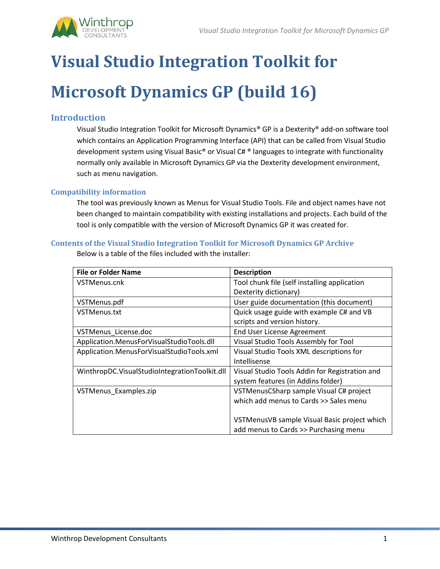

# **Visual Studio Integration Toolkit for Microsoft Dynamics GP (build 16)**

# **Introduction**

Visual Studio Integration Toolkit for Microsoft Dynamics® GP is a Dexterity® add-on software tool which contains an Application Programming Interface (API) that can be called from Visual Studio development system using Visual Basic® or Visual C# ® languages to integrate with functionality normally only available in Microsoft Dynamics GP via the Dexterity development environment, such as menu navigation.

# **Compatibility information**

The tool was previously known as Menus for Visual Studio Tools. File and object names have not been changed to maintain compatibility with existing installations and projects. Each build of the tool is only compatible with the version of Microsoft Dynamics GP it was created for.

# **Contents of the Visual Studio Integration Toolkit for Microsoft Dynamics GP Archive**

| <b>File or Folder Name</b>                    | <b>Description</b>                             |
|-----------------------------------------------|------------------------------------------------|
| VSTMenus.cnk                                  | Tool chunk file (self installing application   |
|                                               | Dexterity dictionary)                          |
| VSTMenus.pdf                                  | User guide documentation (this document)       |
| VSTMenus.txt                                  | Quick usage guide with example C# and VB       |
|                                               | scripts and version history.                   |
| VSTMenus License.doc                          | End User License Agreement                     |
| Application.MenusForVisualStudioTools.dll     | Visual Studio Tools Assembly for Tool          |
| Application.MenusForVisualStudioTools.xml     | Visual Studio Tools XML descriptions for       |
|                                               | Intellisense                                   |
| WinthropDC.VisualStudioIntegrationToolkit.dll | Visual Studio Tools Addin for Registration and |
|                                               | system features (in Addins folder)             |
| VSTMenus_Examples.zip                         | VSTMenusCSharp sample Visual C# project        |
|                                               | which add menus to Cards >> Sales menu         |
|                                               |                                                |
|                                               | VSTMenusVB sample Visual Basic project which   |
|                                               | add menus to Cards >> Purchasing menu          |

Below is a table of the files included with the installer: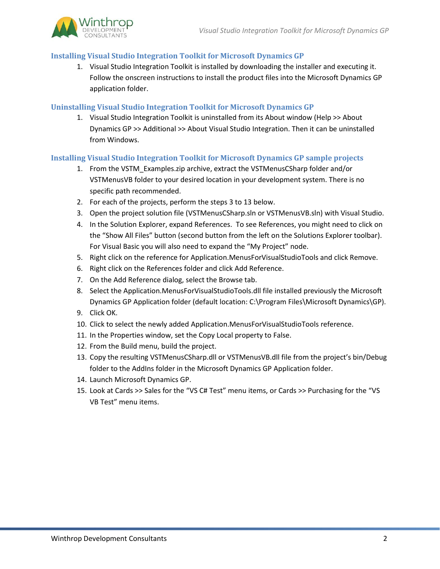

## **Installing Visual Studio Integration Toolkit for Microsoft Dynamics GP**

1. Visual Studio Integration Toolkit is installed by downloading the installer and executing it. Follow the onscreen instructions to install the product files into the Microsoft Dynamics GP application folder.

## **Uninstalling Visual Studio Integration Toolkit for Microsoft Dynamics GP**

1. Visual Studio Integration Toolkit is uninstalled from its About window (Help >> About Dynamics GP >> Additional >> About Visual Studio Integration. Then it can be uninstalled from Windows.

## **Installing Visual Studio Integration Toolkit for Microsoft Dynamics GP sample projects**

- 1. From the VSTM\_Examples.zip archive, extract the VSTMenusCSharp folder and/or VSTMenusVB folder to your desired location in your development system. There is no specific path recommended.
- 2. For each of the projects, perform the steps 3 to 13 below.
- 3. Open the project solution file (VSTMenusCSharp.sln or VSTMenusVB.sln) with Visual Studio.
- 4. In the Solution Explorer, expand References. To see References, you might need to click on the "Show All Files" button (second button from the left on the Solutions Explorer toolbar). For Visual Basic you will also need to expand the "My Project" node.
- 5. Right click on the reference for Application.MenusForVisualStudioTools and click Remove.
- 6. Right click on the References folder and click Add Reference.
- 7. On the Add Reference dialog, select the Browse tab.
- 8. Select the Application.MenusForVisualStudioTools.dll file installed previously the Microsoft Dynamics GP Application folder (default location: C:\Program Files\Microsoft Dynamics\GP).
- 9. Click OK.
- 10. Click to select the newly added Application.MenusForVisualStudioTools reference.
- 11. In the Properties window, set the Copy Local property to False.
- 12. From the Build menu, build the project.
- 13. Copy the resulting VSTMenusCSharp.dll or VSTMenusVB.dll file from the project's bin/Debug folder to the AddIns folder in the Microsoft Dynamics GP Application folder.
- 14. Launch Microsoft Dynamics GP.
- 15. Look at Cards >> Sales for the "VS C# Test" menu items, or Cards >> Purchasing for the "VS VB Test" menu items.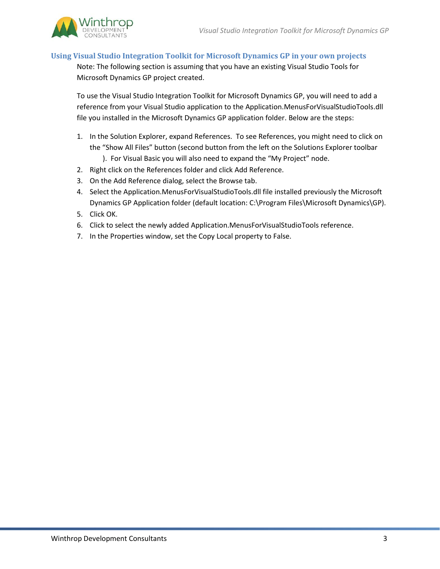

# **Using Visual Studio Integration Toolkit for Microsoft Dynamics GP in your own projects**

Note: The following section is assuming that you have an existing Visual Studio Tools for Microsoft Dynamics GP project created.

To use the Visual Studio Integration Toolkit for Microsoft Dynamics GP, you will need to add a reference from your Visual Studio application to the Application.MenusForVisualStudioTools.dll file you installed in the Microsoft Dynamics GP application folder. Below are the steps:

- 1. In the Solution Explorer, expand References. To see References, you might need to click on the "Show All Files" button (second button from the left on the Solutions Explorer toolbar
	- ). For Visual Basic you will also need to expand the "My Project" node.
- 2. Right click on the References folder and click Add Reference.
- 3. On the Add Reference dialog, select the Browse tab.
- 4. Select the Application.MenusForVisualStudioTools.dll file installed previously the Microsoft Dynamics GP Application folder (default location: C:\Program Files\Microsoft Dynamics\GP).
- 5. Click OK.
- 6. Click to select the newly added Application.MenusForVisualStudioTools reference.
- 7. In the Properties window, set the Copy Local property to False.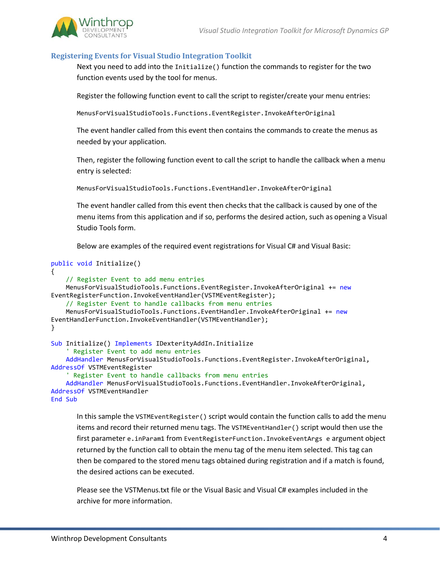

## **Registering Events for Visual Studio Integration Toolkit**

Next you need to add into the Initialize() function the commands to register for the two function events used by the tool for menus.

Register the following function event to call the script to register/create your menu entries:

MenusForVisualStudioTools.Functions.EventRegister.InvokeAfterOriginal

The event handler called from this event then contains the commands to create the menus as needed by your application.

Then, register the following function event to call the script to handle the callback when a menu entry is selected:

MenusForVisualStudioTools.Functions.EventHandler.InvokeAfterOriginal

The event handler called from this event then checks that the callback is caused by one of the menu items from this application and if so, performs the desired action, such as opening a Visual Studio Tools form.

Below are examples of the required event registrations for Visual C# and Visual Basic:

```
public void Initialize()
{
     // Register Event to add menu entries
     MenusForVisualStudioTools.Functions.EventRegister.InvokeAfterOriginal += new
EventRegisterFunction.InvokeEventHandler(VSTMEventRegister);
     // Register Event to handle callbacks from menu entries
     MenusForVisualStudioTools.Functions.EventHandler.InvokeAfterOriginal += new
EventHandlerFunction.InvokeEventHandler(VSTMEventHandler);
}
Sub Initialize() Implements IDexterityAddIn.Initialize
     ' Register Event to add menu entries
     AddHandler MenusForVisualStudioTools.Functions.EventRegister.InvokeAfterOriginal, 
AddressOf VSTMEventRegister
     ' Register Event to handle callbacks from menu entries
     AddHandler MenusForVisualStudioTools.Functions.EventHandler.InvokeAfterOriginal, 
AddressOf VSTMEventHandler
End Sub
```
In this sample the VSTMEventRegister() script would contain the function calls to add the menu items and record their returned menu tags. The VSTMEventHandler() script would then use the first parameter e.inParam1 from EventRegisterFunction.InvokeEventArgs e argument object returned by the function call to obtain the menu tag of the menu item selected. This tag can then be compared to the stored menu tags obtained during registration and if a match is found, the desired actions can be executed.

Please see the VSTMenus.txt file or the Visual Basic and Visual C# examples included in the archive for more information.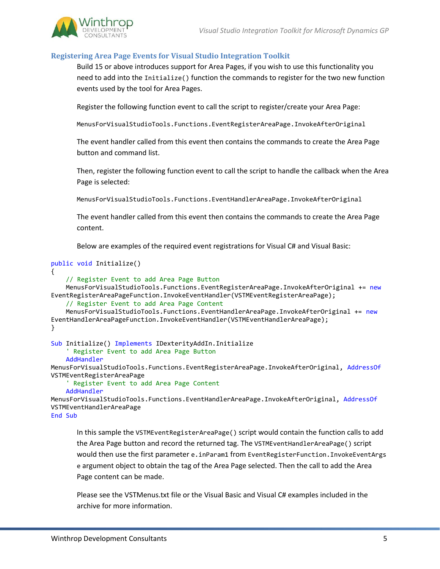

# **Registering Area Page Events for Visual Studio Integration Toolkit**

Build 15 or above introduces support for Area Pages, if you wish to use this functionality you need to add into the Initialize() function the commands to register for the two new function events used by the tool for Area Pages.

Register the following function event to call the script to register/create your Area Page:

MenusForVisualStudioTools.Functions.EventRegisterAreaPage.InvokeAfterOriginal

The event handler called from this event then contains the commands to create the Area Page button and command list.

Then, register the following function event to call the script to handle the callback when the Area Page is selected:

MenusForVisualStudioTools.Functions.EventHandlerAreaPage.InvokeAfterOriginal

The event handler called from this event then contains the commands to create the Area Page content.

Below are examples of the required event registrations for Visual C# and Visual Basic:

```
public void Initialize()
{
     // Register Event to add Area Page Button
     MenusForVisualStudioTools.Functions.EventRegisterAreaPage.InvokeAfterOriginal += new
EventRegisterAreaPageFunction.InvokeEventHandler(VSTMEventRegisterAreaPage);
     // Register Event to add Area Page Content
     MenusForVisualStudioTools.Functions.EventHandlerAreaPage.InvokeAfterOriginal += new
EventHandlerAreaPageFunction.InvokeEventHandler(VSTMEventHandlerAreaPage);
}
Sub Initialize() Implements IDexterityAddIn.Initialize
     ' Register Event to add Area Page Button
     AddHandler
MenusForVisualStudioTools.Functions.EventRegisterAreaPage.InvokeAfterOriginal, AddressOf
VSTMEventRegisterAreaPage
     ' Register Event to add Area Page Content
     AddHandler
MenusForVisualStudioTools.Functions.EventHandlerAreaPage.InvokeAfterOriginal, AddressOf
VSTMEventHandlerAreaPage
```
End Sub

In this sample the VSTMEventRegisterAreaPage() script would contain the function calls to add the Area Page button and record the returned tag. The VSTMEventHandlerAreaPage() script would then use the first parameter e.inParam1 from EventRegisterFunction.InvokeEventArgs e argument object to obtain the tag of the Area Page selected. Then the call to add the Area Page content can be made.

Please see the VSTMenus.txt file or the Visual Basic and Visual C# examples included in the archive for more information.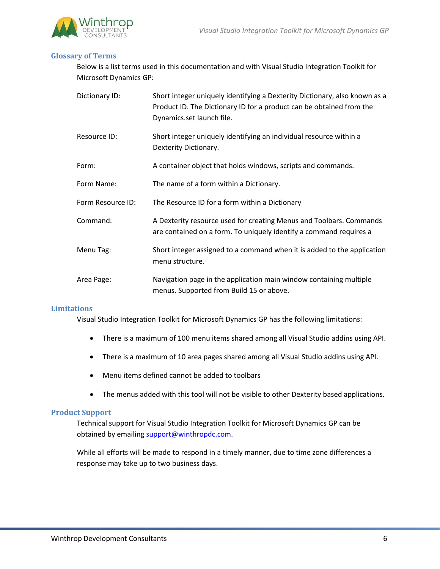



## **Glossary of Terms**

Below is a list terms used in this documentation and with Visual Studio Integration Toolkit for Microsoft Dynamics GP:

| Dictionary ID:    | Short integer uniquely identifying a Dexterity Dictionary, also known as a<br>Product ID. The Dictionary ID for a product can be obtained from the<br>Dynamics.set launch file. |
|-------------------|---------------------------------------------------------------------------------------------------------------------------------------------------------------------------------|
| Resource ID:      | Short integer uniquely identifying an individual resource within a<br>Dexterity Dictionary.                                                                                     |
| Form:             | A container object that holds windows, scripts and commands.                                                                                                                    |
| Form Name:        | The name of a form within a Dictionary.                                                                                                                                         |
| Form Resource ID: | The Resource ID for a form within a Dictionary                                                                                                                                  |
| Command:          | A Dexterity resource used for creating Menus and Toolbars. Commands<br>are contained on a form. To uniquely identify a command requires a                                       |
| Menu Tag:         | Short integer assigned to a command when it is added to the application<br>menu structure.                                                                                      |
| Area Page:        | Navigation page in the application main window containing multiple<br>menus. Supported from Build 15 or above.                                                                  |

## **Limitations**

Visual Studio Integration Toolkit for Microsoft Dynamics GP has the following limitations:

- There is a maximum of 100 menu items shared among all Visual Studio addins using API.
- There is a maximum of 10 area pages shared among all Visual Studio addins using API.
- Menu items defined cannot be added to toolbars
- The menus added with this tool will not be visible to other Dexterity based applications.

#### **Product Support**

Technical support for Visual Studio Integration Toolkit for Microsoft Dynamics GP can be obtained by emailing [support@winthropdc.com.](mailto:support@winthropdc.com)

While all efforts will be made to respond in a timely manner, due to time zone differences a response may take up to two business days.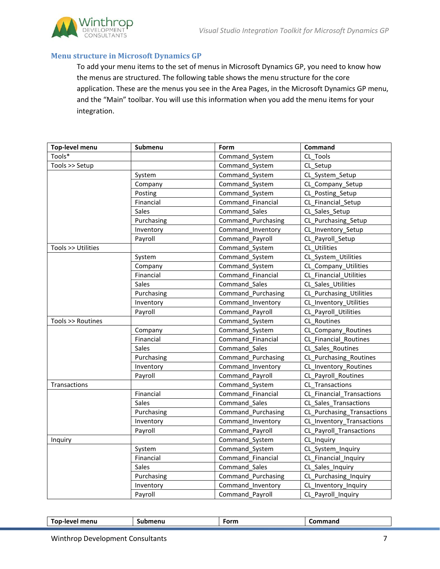

## **Menu structure in Microsoft Dynamics GP**

To add your menu items to the set of menus in Microsoft Dynamics GP, you need to know how the menus are structured. The following table shows the menu structure for the core application. These are the menus you see in the Area Pages, in the Microsoft Dynamics GP menu, and the "Main" toolbar. You will use this information when you add the menu items for your integration.

| <b>Top-level menu</b> | Submenu      | Form                                        | Command                    |  |
|-----------------------|--------------|---------------------------------------------|----------------------------|--|
| Tools*                |              | CL Tools<br>Command_System                  |                            |  |
| Tools >> Setup        |              | Command_System                              | CL Setup                   |  |
|                       | System       | Command System                              | CL System Setup            |  |
|                       | Company      | Command System                              | CL_Company_Setup           |  |
|                       | Posting      | Command System                              | CL Posting Setup           |  |
|                       | Financial    | Command Financial                           | CL_Financial_Setup         |  |
|                       | Sales        | Command_Sales                               | CL_Sales_Setup             |  |
|                       | Purchasing   | Command Purchasing                          | CL_Purchasing_Setup        |  |
|                       | Inventory    | Command_Inventory                           | CL_Inventory_Setup         |  |
|                       | Payroll      | Command Payroll                             | CL Payroll Setup           |  |
| Tools >> Utilities    |              | Command_System                              | CL Utilities               |  |
|                       | System       | Command_System                              | CL_System_Utilities        |  |
|                       | Company      | Command System                              | CL Company Utilities       |  |
|                       | Financial    | Command Financial                           | CL Financial Utilities     |  |
|                       | Sales        | Command Sales                               | CL_Sales_Utilities         |  |
|                       | Purchasing   | Command_Purchasing                          | CL Purchasing_Utilities    |  |
|                       | Inventory    | Command_Inventory                           | CL_Inventory_Utilities     |  |
|                       | Payroll      | Command Payroll                             | CL Payroll Utilities       |  |
| Tools >> Routines     |              | Command System                              | CL Routines                |  |
|                       | Company      | Command System                              | CL Company Routines        |  |
|                       | Financial    | Command Financial                           | CL Financial Routines      |  |
|                       | Sales        | Command Sales                               | CL Sales Routines          |  |
|                       | Purchasing   | Command Purchasing                          | CL Purchasing Routines     |  |
|                       | Inventory    | Command Inventory                           | CL_Inventory_Routines      |  |
|                       | Payroll      | Command Payroll                             | CL Payroll Routines        |  |
| Transactions          |              | Command_System                              | CL Transactions            |  |
|                       | Financial    | Command Financial                           | CL Financial_Transactions  |  |
|                       | <b>Sales</b> | Command_Sales                               | CL Sales Transactions      |  |
|                       | Purchasing   | Command Purchasing                          | CL Purchasing Transactions |  |
|                       | Inventory    | Command Inventory                           | CL Inventory Transactions  |  |
|                       | Payroll      | Command Payroll                             | CL_Payroll_Transactions    |  |
| Inquiry               |              | Command System                              | CL Inquiry                 |  |
|                       | System       | Command_System                              | CL_System_Inquiry          |  |
|                       | Financial    | Command Financial                           | CL_Financial_Inquiry       |  |
|                       | Sales        | Command Sales                               | CL_Sales_Inquiry           |  |
|                       | Purchasing   | Command_Purchasing<br>CL_Purchasing_Inquiry |                            |  |
|                       | Inventory    | Command_Inventory                           | CL_Inventory_Inquiry       |  |
|                       | Payroll      | Command Payroll                             | CL Payroll Inquiry         |  |

| menu<br>on.<br>-- 10 | .<br>nent<br>⊸upr | $ -$<br>יייש | .  . |
|----------------------|-------------------|--------------|------|
|                      |                   |              |      |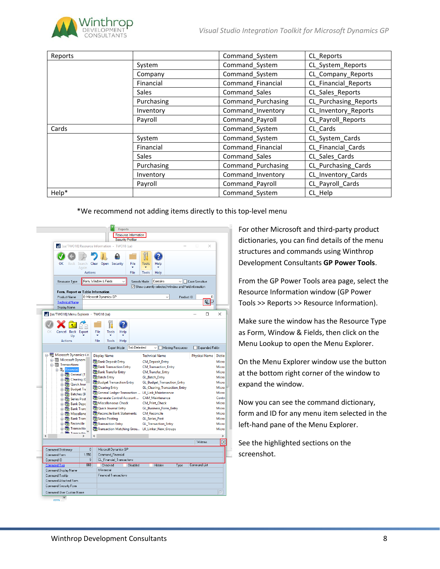

| Reports |              | Command_System     | CL_Reports            |
|---------|--------------|--------------------|-----------------------|
|         | System       | Command_System     | CL_System_Reports     |
|         | Company      | Command_System     | CL_Company_Reports    |
|         | Financial    | Command_Financial  | CL_Financial_Reports  |
|         | <b>Sales</b> | Command Sales      | CL Sales Reports      |
|         | Purchasing   | Command_Purchasing | CL Purchasing_Reports |
|         | Inventory    | Command_Inventory  | CL_Inventory_Reports  |
|         | Payroll      | Command Payroll    | CL Payroll Reports    |
| Cards   |              | Command System     | CL Cards              |
|         | System       | Command_System     | CL_System_Cards       |
|         | Financial    | Command Financial  | CL Financial Cards    |
|         | <b>Sales</b> | Command Sales      | CL Sales Cards        |
|         | Purchasing   | Command_Purchasing | CL Purchasing_Cards   |
|         | Inventory    | Command_Inventory  | CL Inventory Cards    |
|         | Payroll      | Command Payroll    | CL Payroll Cards      |
| Help*   |              | Command System     | CL Help               |

\*We recommend not adding items directly to this top-level menu



For other Microsoft and third-party product dictionaries, you can find details of the menu structures and commands using Winthrop Development Consultants **GP Power Tools**.

From the GP Power Tools area page, select the Resource Information window (GP Power Tools >> Reports >> Resource Information).

Make sure the window has the Resource Type as Form, Window & Fields, then click on the Menu Lookup to open the Menu Explorer.

On the Menu Explorer window use the button at the bottom right corner of the window to expand the window.

Now you can see the command dictionary, form and ID for any menu item selected in the left-hand pane of the Menu Explorer.

See the highlighted sections on the screenshot.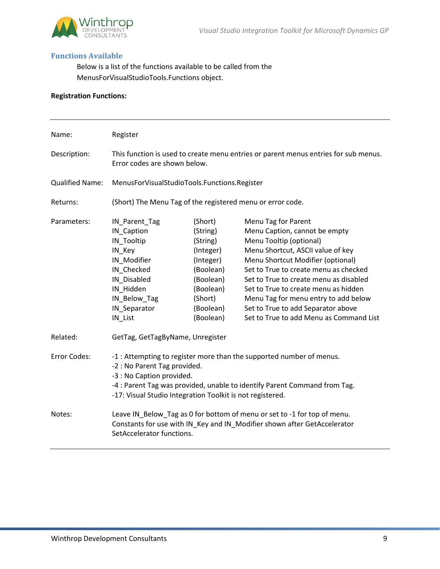

## **Functions Available**

Below is a list of the functions available to be called from the MenusForVisualStudioTools.Functions object.

# **Registration Functions:**

| Name:                  | Register                                                                                                                                                                                                                                                                    |                                                                                                                                       |                                                                                                                                                                                                                                                                                                                                                                                                               |
|------------------------|-----------------------------------------------------------------------------------------------------------------------------------------------------------------------------------------------------------------------------------------------------------------------------|---------------------------------------------------------------------------------------------------------------------------------------|---------------------------------------------------------------------------------------------------------------------------------------------------------------------------------------------------------------------------------------------------------------------------------------------------------------------------------------------------------------------------------------------------------------|
| Description:           | This function is used to create menu entries or parent menus entries for sub menus.<br>Error codes are shown below.                                                                                                                                                         |                                                                                                                                       |                                                                                                                                                                                                                                                                                                                                                                                                               |
| <b>Qualified Name:</b> | MenusForVisualStudioTools.Functions.Register                                                                                                                                                                                                                                |                                                                                                                                       |                                                                                                                                                                                                                                                                                                                                                                                                               |
| Returns:               | (Short) The Menu Tag of the registered menu or error code.                                                                                                                                                                                                                  |                                                                                                                                       |                                                                                                                                                                                                                                                                                                                                                                                                               |
| Parameters:            | IN_Parent_Tag<br>IN_Caption<br>IN_Tooltip<br>IN_Key<br>IN_Modifier<br>IN_Checked<br>IN Disabled<br>IN Hidden<br>IN_Below_Tag<br>IN_Separator<br>IN_List                                                                                                                     | (Short)<br>(String)<br>(String)<br>(Integer)<br>(Integer)<br>(Boolean)<br>(Boolean)<br>(Boolean)<br>(Short)<br>(Boolean)<br>(Boolean) | Menu Tag for Parent<br>Menu Caption, cannot be empty<br>Menu Tooltip (optional)<br>Menu Shortcut, ASCII value of key<br>Menu Shortcut Modifier (optional)<br>Set to True to create menu as checked<br>Set to True to create menu as disabled<br>Set to True to create menu as hidden<br>Menu Tag for menu entry to add below<br>Set to True to add Separator above<br>Set to True to add Menu as Command List |
| Related:               | GetTag, GetTagByName, Unregister                                                                                                                                                                                                                                            |                                                                                                                                       |                                                                                                                                                                                                                                                                                                                                                                                                               |
| Error Codes:           | -1 : Attempting to register more than the supported number of menus.<br>-2 : No Parent Tag provided.<br>-3 : No Caption provided.<br>-4 : Parent Tag was provided, unable to identify Parent Command from Tag.<br>-17: Visual Studio Integration Toolkit is not registered. |                                                                                                                                       |                                                                                                                                                                                                                                                                                                                                                                                                               |
| Notes:                 | Leave IN_Below_Tag as 0 for bottom of menu or set to -1 for top of menu.<br>Constants for use with IN_Key and IN_Modifier shown after GetAccelerator<br>SetAccelerator functions.                                                                                           |                                                                                                                                       |                                                                                                                                                                                                                                                                                                                                                                                                               |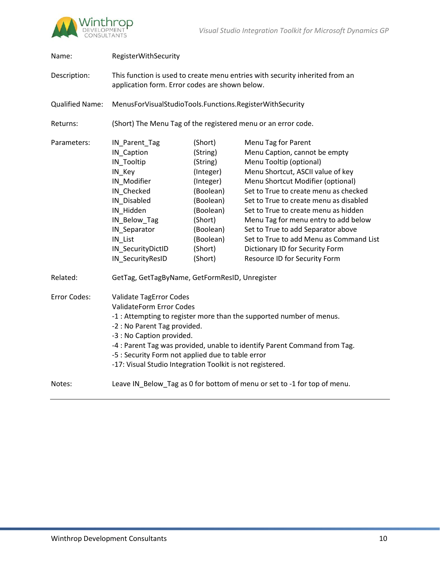

| Name:                  | RegisterWithSecurity                                                                                                                                                                                                                                                                                                                                                                           |                                                                                                                                                             |                                                                                                                                                                                                                                                                                                                                                                                                                                                                                   |  |
|------------------------|------------------------------------------------------------------------------------------------------------------------------------------------------------------------------------------------------------------------------------------------------------------------------------------------------------------------------------------------------------------------------------------------|-------------------------------------------------------------------------------------------------------------------------------------------------------------|-----------------------------------------------------------------------------------------------------------------------------------------------------------------------------------------------------------------------------------------------------------------------------------------------------------------------------------------------------------------------------------------------------------------------------------------------------------------------------------|--|
| Description:           | This function is used to create menu entries with security inherited from an<br>application form. Error codes are shown below.                                                                                                                                                                                                                                                                 |                                                                                                                                                             |                                                                                                                                                                                                                                                                                                                                                                                                                                                                                   |  |
| <b>Qualified Name:</b> | MenusForVisualStudioTools.Functions.RegisterWithSecurity                                                                                                                                                                                                                                                                                                                                       |                                                                                                                                                             |                                                                                                                                                                                                                                                                                                                                                                                                                                                                                   |  |
| Returns:               | (Short) The Menu Tag of the registered menu or an error code.                                                                                                                                                                                                                                                                                                                                  |                                                                                                                                                             |                                                                                                                                                                                                                                                                                                                                                                                                                                                                                   |  |
| Parameters:            | IN_Parent_Tag<br>IN_Caption<br>IN_Tooltip<br>IN_Key<br>IN_Modifier<br>IN_Checked<br>IN Disabled<br>IN Hidden<br>IN_Below_Tag<br>IN_Separator<br>IN_List<br>IN_SecurityDictID<br>IN_SecurityResID                                                                                                                                                                                               | (Short)<br>(String)<br>(String)<br>(Integer)<br>(Integer)<br>(Boolean)<br>(Boolean)<br>(Boolean)<br>(Short)<br>(Boolean)<br>(Boolean)<br>(Short)<br>(Short) | Menu Tag for Parent<br>Menu Caption, cannot be empty<br>Menu Tooltip (optional)<br>Menu Shortcut, ASCII value of key<br>Menu Shortcut Modifier (optional)<br>Set to True to create menu as checked<br>Set to True to create menu as disabled<br>Set to True to create menu as hidden<br>Menu Tag for menu entry to add below<br>Set to True to add Separator above<br>Set to True to add Menu as Command List<br>Dictionary ID for Security Form<br>Resource ID for Security Form |  |
| Related:               | GetTag, GetTagByName, GetFormResID, Unregister                                                                                                                                                                                                                                                                                                                                                 |                                                                                                                                                             |                                                                                                                                                                                                                                                                                                                                                                                                                                                                                   |  |
| Error Codes:           | Validate TagError Codes<br><b>ValidateForm Error Codes</b><br>-1 : Attempting to register more than the supported number of menus.<br>-2 : No Parent Tag provided.<br>-3 : No Caption provided.<br>-4 : Parent Tag was provided, unable to identify Parent Command from Tag.<br>-5 : Security Form not applied due to table error<br>-17: Visual Studio Integration Toolkit is not registered. |                                                                                                                                                             |                                                                                                                                                                                                                                                                                                                                                                                                                                                                                   |  |
| Notes:                 | Leave IN_Below_Tag as 0 for bottom of menu or set to -1 for top of menu.                                                                                                                                                                                                                                                                                                                       |                                                                                                                                                             |                                                                                                                                                                                                                                                                                                                                                                                                                                                                                   |  |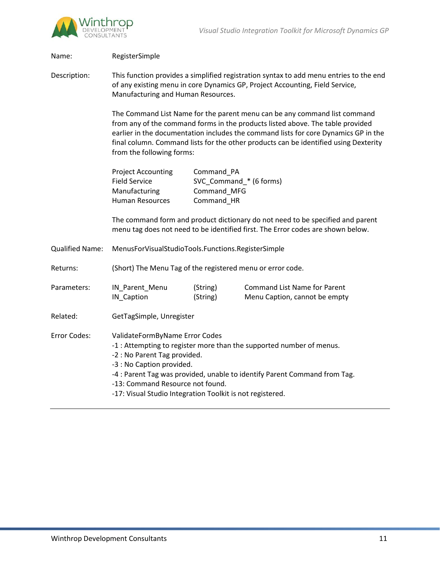

| Name:                  | RegisterSimple                                                                                                                                                                                                                                                                                                                                                          |                                                                                                                                                                   |                                                                      |  |
|------------------------|-------------------------------------------------------------------------------------------------------------------------------------------------------------------------------------------------------------------------------------------------------------------------------------------------------------------------------------------------------------------------|-------------------------------------------------------------------------------------------------------------------------------------------------------------------|----------------------------------------------------------------------|--|
| Description:           | This function provides a simplified registration syntax to add menu entries to the end<br>of any existing menu in core Dynamics GP, Project Accounting, Field Service,<br>Manufacturing and Human Resources.                                                                                                                                                            |                                                                                                                                                                   |                                                                      |  |
|                        | The Command List Name for the parent menu can be any command list command<br>from any of the command forms in the products listed above. The table provided<br>earlier in the documentation includes the command lists for core Dynamics GP in the<br>final column. Command lists for the other products can be identified using Dexterity<br>from the following forms: |                                                                                                                                                                   |                                                                      |  |
|                        | <b>Project Accounting</b><br><b>Field Service</b><br>Manufacturing<br><b>Human Resources</b>                                                                                                                                                                                                                                                                            | Command_PA<br>SVC_Command_* (6 forms)<br>Command_MFG<br>Command_HR                                                                                                |                                                                      |  |
|                        |                                                                                                                                                                                                                                                                                                                                                                         | The command form and product dictionary do not need to be specified and parent<br>menu tag does not need to be identified first. The Error codes are shown below. |                                                                      |  |
| <b>Qualified Name:</b> | MenusForVisualStudioTools.Functions.RegisterSimple                                                                                                                                                                                                                                                                                                                      |                                                                                                                                                                   |                                                                      |  |
| Returns:               | (Short) The Menu Tag of the registered menu or error code.                                                                                                                                                                                                                                                                                                              |                                                                                                                                                                   |                                                                      |  |
| Parameters:            | IN_Parent_Menu<br>IN_Caption                                                                                                                                                                                                                                                                                                                                            | (String)<br>(String)                                                                                                                                              | <b>Command List Name for Parent</b><br>Menu Caption, cannot be empty |  |
| Related:               | GetTagSimple, Unregister                                                                                                                                                                                                                                                                                                                                                |                                                                                                                                                                   |                                                                      |  |
| Error Codes:           | ValidateFormByName Error Codes<br>-1 : Attempting to register more than the supported number of menus.<br>-2 : No Parent Tag provided.<br>-3 : No Caption provided.<br>-4 : Parent Tag was provided, unable to identify Parent Command from Tag.<br>-13: Command Resource not found.<br>-17: Visual Studio Integration Toolkit is not registered.                       |                                                                                                                                                                   |                                                                      |  |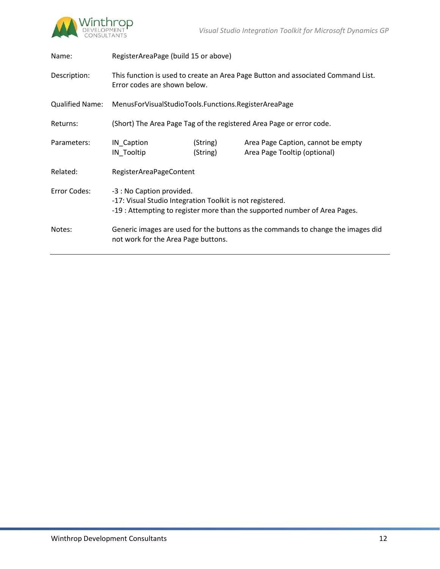

| Name:           | RegisterAreaPage (build 15 or above)                                                                                                                                 |                      |                                                                    |
|-----------------|----------------------------------------------------------------------------------------------------------------------------------------------------------------------|----------------------|--------------------------------------------------------------------|
| Description:    | This function is used to create an Area Page Button and associated Command List.<br>Error codes are shown below.                                                     |                      |                                                                    |
| Qualified Name: | MenusForVisualStudioTools.Functions.RegisterAreaPage                                                                                                                 |                      |                                                                    |
| Returns:        | (Short) The Area Page Tag of the registered Area Page or error code.                                                                                                 |                      |                                                                    |
| Parameters:     | IN_Caption<br>IN_Tooltip                                                                                                                                             | (String)<br>(String) | Area Page Caption, cannot be empty<br>Area Page Tooltip (optional) |
| Related:        | RegisterAreaPageContent                                                                                                                                              |                      |                                                                    |
| Error Codes:    | -3 : No Caption provided.<br>-17: Visual Studio Integration Toolkit is not registered.<br>-19 : Attempting to register more than the supported number of Area Pages. |                      |                                                                    |
| Notes:          | Generic images are used for the buttons as the commands to change the images did<br>not work for the Area Page buttons.                                              |                      |                                                                    |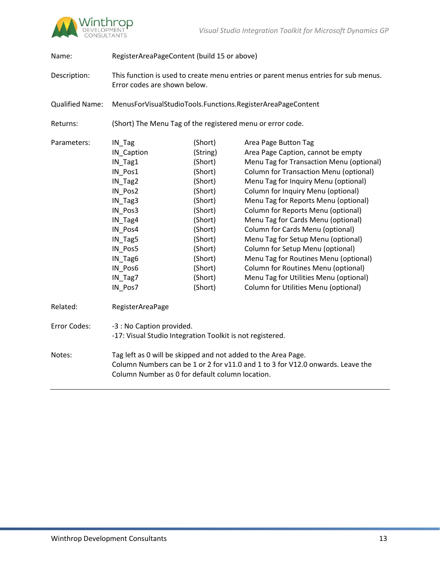

Name: RegisterAreaPageContent (build 15 or above)

| Description:           | This function is used to create menu entries or parent menus entries for sub menus.<br>Error codes are shown below.                                                                                |                    |                                                                            |
|------------------------|----------------------------------------------------------------------------------------------------------------------------------------------------------------------------------------------------|--------------------|----------------------------------------------------------------------------|
| <b>Qualified Name:</b> | MenusForVisualStudioTools.Functions.RegisterAreaPageContent                                                                                                                                        |                    |                                                                            |
| Returns:               | (Short) The Menu Tag of the registered menu or error code.                                                                                                                                         |                    |                                                                            |
| Parameters:            | IN_Tag                                                                                                                                                                                             | (Short)            | Area Page Button Tag                                                       |
|                        | IN_Caption                                                                                                                                                                                         | (String)           | Area Page Caption, cannot be empty                                         |
|                        | $IN_Tag1$                                                                                                                                                                                          | (Short)            | Menu Tag for Transaction Menu (optional)                                   |
|                        | IN_Pos1                                                                                                                                                                                            | (Short)            | <b>Column for Transaction Menu (optional)</b>                              |
|                        | IN_Tag2                                                                                                                                                                                            | (Short)            | Menu Tag for Inquiry Menu (optional)                                       |
|                        | IN_Pos2<br>IN_Tag3                                                                                                                                                                                 | (Short)<br>(Short) | Column for Inquiry Menu (optional)<br>Menu Tag for Reports Menu (optional) |
|                        | IN Pos3                                                                                                                                                                                            | (Short)            | Column for Reports Menu (optional)                                         |
|                        | IN_Tag4                                                                                                                                                                                            | (Short)            | Menu Tag for Cards Menu (optional)                                         |
|                        | IN_Pos4                                                                                                                                                                                            | (Short)            | Column for Cards Menu (optional)                                           |
|                        | IN_Tag5                                                                                                                                                                                            | (Short)            | Menu Tag for Setup Menu (optional)                                         |
|                        | IN_Pos5                                                                                                                                                                                            | (Short)            | Column for Setup Menu (optional)                                           |
|                        | IN_Tag6                                                                                                                                                                                            | (Short)            | Menu Tag for Routines Menu (optional)                                      |
|                        | IN_Pos6                                                                                                                                                                                            | (Short)            | Column for Routines Menu (optional)                                        |
|                        | IN_Tag7                                                                                                                                                                                            | (Short)            | Menu Tag for Utilities Menu (optional)                                     |
|                        | IN_Pos7                                                                                                                                                                                            | (Short)            | Column for Utilities Menu (optional)                                       |
| Related:               | RegisterAreaPage                                                                                                                                                                                   |                    |                                                                            |
| Error Codes:           | -3 : No Caption provided.<br>-17: Visual Studio Integration Toolkit is not registered.                                                                                                             |                    |                                                                            |
| Notes:                 | Tag left as 0 will be skipped and not added to the Area Page.<br>Column Numbers can be 1 or 2 for v11.0 and 1 to 3 for V12.0 onwards. Leave the<br>Column Number as 0 for default column location. |                    |                                                                            |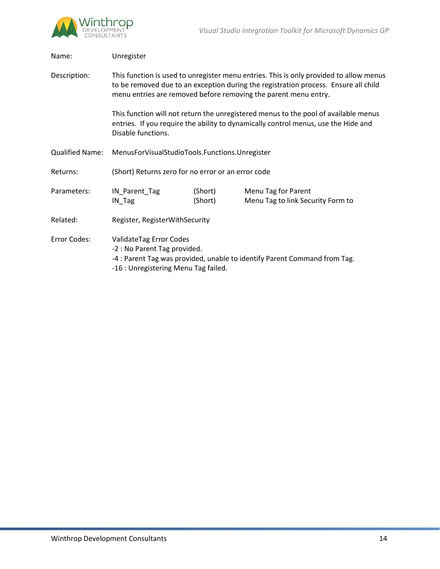

| Unregister                                                                                                                                                                                                                                       |                    |                                                          |  |
|--------------------------------------------------------------------------------------------------------------------------------------------------------------------------------------------------------------------------------------------------|--------------------|----------------------------------------------------------|--|
| This function is used to unregister menu entries. This is only provided to allow menus<br>to be removed due to an exception during the registration process. Ensure all child<br>menu entries are removed before removing the parent menu entry. |                    |                                                          |  |
| This function will not return the unregistered menus to the pool of available menus<br>entries. If you require the ability to dynamically control menus, use the Hide and<br>Disable functions.                                                  |                    |                                                          |  |
| MenusForVisualStudioTools.Functions.Unregister                                                                                                                                                                                                   |                    |                                                          |  |
| (Short) Returns zero for no error or an error code                                                                                                                                                                                               |                    |                                                          |  |
| IN_Parent_Tag<br>IN_Tag                                                                                                                                                                                                                          | (Short)<br>(Short) | Menu Tag for Parent<br>Menu Tag to link Security Form to |  |
| Register, RegisterWithSecurity                                                                                                                                                                                                                   |                    |                                                          |  |
| ValidateTag Error Codes<br>-2 : No Parent Tag provided.<br>-4 : Parent Tag was provided, unable to identify Parent Command from Tag.<br>-16 : Unregistering Menu Tag failed.                                                                     |                    |                                                          |  |
|                                                                                                                                                                                                                                                  |                    |                                                          |  |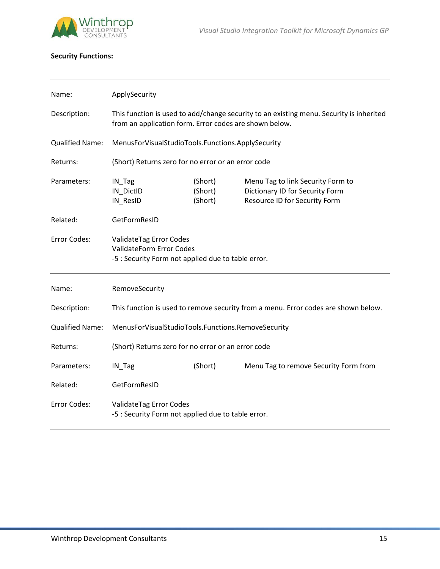

# **Security Functions:**

| Name:                  | ApplySecurity                                                                                                                                     |                               |                                                                                                       |
|------------------------|---------------------------------------------------------------------------------------------------------------------------------------------------|-------------------------------|-------------------------------------------------------------------------------------------------------|
| Description:           | This function is used to add/change security to an existing menu. Security is inherited<br>from an application form. Error codes are shown below. |                               |                                                                                                       |
| <b>Qualified Name:</b> | MenusForVisualStudioTools.Functions.ApplySecurity                                                                                                 |                               |                                                                                                       |
| Returns:               | (Short) Returns zero for no error or an error code                                                                                                |                               |                                                                                                       |
| Parameters:            | IN_Tag<br>IN_DictID<br>IN_ResID                                                                                                                   | (Short)<br>(Short)<br>(Short) | Menu Tag to link Security Form to<br>Dictionary ID for Security Form<br>Resource ID for Security Form |
| Related:               | GetFormResID                                                                                                                                      |                               |                                                                                                       |
| <b>Error Codes:</b>    | ValidateTag Error Codes<br><b>ValidateForm Error Codes</b><br>-5 : Security Form not applied due to table error.                                  |                               |                                                                                                       |
| Name:                  | RemoveSecurity                                                                                                                                    |                               |                                                                                                       |
| Description:           | This function is used to remove security from a menu. Error codes are shown below.                                                                |                               |                                                                                                       |
| <b>Qualified Name:</b> | MenusForVisualStudioTools.Functions.RemoveSecurity                                                                                                |                               |                                                                                                       |
| Returns:               | (Short) Returns zero for no error or an error code                                                                                                |                               |                                                                                                       |
| Parameters:            | IN_Tag                                                                                                                                            | (Short)                       | Menu Tag to remove Security Form from                                                                 |
| Related:               | GetFormResID                                                                                                                                      |                               |                                                                                                       |
| Error Codes:           | ValidateTag Error Codes<br>-5 : Security Form not applied due to table error.                                                                     |                               |                                                                                                       |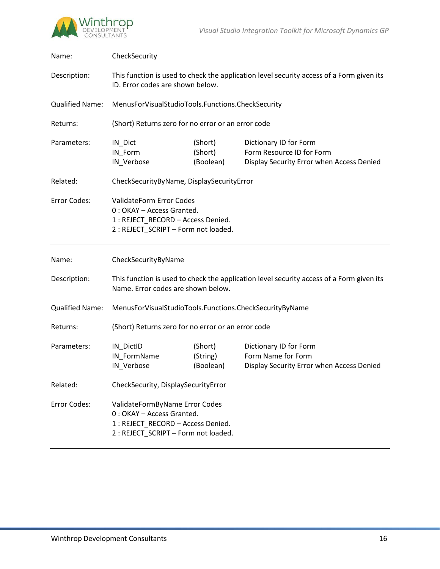

| Name:                  | CheckSecurity                                                                                                                       |                                  |                                                                                                  |  |
|------------------------|-------------------------------------------------------------------------------------------------------------------------------------|----------------------------------|--------------------------------------------------------------------------------------------------|--|
| Description:           | This function is used to check the application level security access of a Form given its<br>ID. Error codes are shown below.        |                                  |                                                                                                  |  |
| <b>Qualified Name:</b> | MenusForVisualStudioTools.Functions.CheckSecurity                                                                                   |                                  |                                                                                                  |  |
| Returns:               | (Short) Returns zero for no error or an error code                                                                                  |                                  |                                                                                                  |  |
| Parameters:            | IN_Dict<br>IN_Form<br>IN_Verbose                                                                                                    | (Short)<br>(Short)<br>(Boolean)  | Dictionary ID for Form<br>Form Resource ID for Form<br>Display Security Error when Access Denied |  |
| Related:               | CheckSecurityByName, DisplaySecurityError                                                                                           |                                  |                                                                                                  |  |
| Error Codes:           | ValidateForm Error Codes<br>0: OKAY - Access Granted.<br>1 : REJECT_RECORD - Access Denied.<br>2 : REJECT SCRIPT - Form not loaded. |                                  |                                                                                                  |  |
|                        | CheckSecurityByName                                                                                                                 |                                  |                                                                                                  |  |
| Name:                  |                                                                                                                                     |                                  |                                                                                                  |  |
| Description:           | Name. Error codes are shown below.                                                                                                  |                                  | This function is used to check the application level security access of a Form given its         |  |
| <b>Qualified Name:</b> | MenusForVisualStudioTools.Functions.CheckSecurityByName                                                                             |                                  |                                                                                                  |  |
| Returns:               | (Short) Returns zero for no error or an error code                                                                                  |                                  |                                                                                                  |  |
| Parameters:            | IN_DictID<br>IN_FormName<br>IN_Verbose                                                                                              | (Short)<br>(String)<br>(Boolean) | Dictionary ID for Form<br>Form Name for Form<br>Display Security Error when Access Denied        |  |
| Related:               | CheckSecurity, DisplaySecurityError                                                                                                 |                                  |                                                                                                  |  |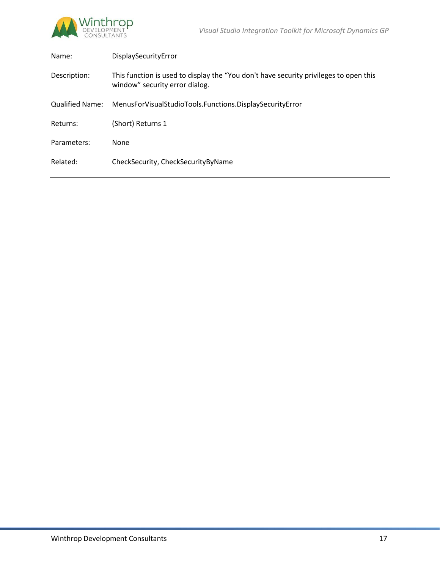

| Name:                  | DisplaySecurityError                                                                                                    |
|------------------------|-------------------------------------------------------------------------------------------------------------------------|
| Description:           | This function is used to display the "You don't have security privileges to open this<br>window" security error dialog. |
| <b>Qualified Name:</b> | MenusForVisualStudioTools.Functions.DisplaySecurityError                                                                |
| Returns:               | (Short) Returns 1                                                                                                       |
| Parameters:            | None                                                                                                                    |
| Related:               | CheckSecurity, CheckSecurityByName                                                                                      |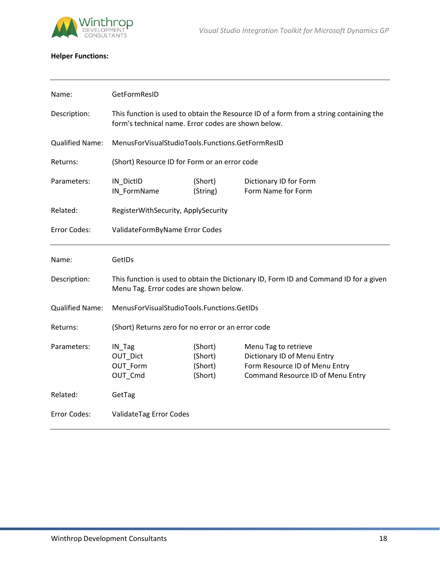

# **Helper Functions:**

| Name:                  | GetFormResID                                                                                                                                  |                                          |                                                                                                                            |  |
|------------------------|-----------------------------------------------------------------------------------------------------------------------------------------------|------------------------------------------|----------------------------------------------------------------------------------------------------------------------------|--|
| Description:           | This function is used to obtain the Resource ID of a form from a string containing the<br>form's technical name. Error codes are shown below. |                                          |                                                                                                                            |  |
| <b>Qualified Name:</b> | MenusForVisualStudioTools.Functions.GetFormResID                                                                                              |                                          |                                                                                                                            |  |
| Returns:               | (Short) Resource ID for Form or an error code                                                                                                 |                                          |                                                                                                                            |  |
| Parameters:            | IN_DictID<br>IN_FormName                                                                                                                      | (Short)<br>(String)                      | Dictionary ID for Form<br>Form Name for Form                                                                               |  |
| Related:               | RegisterWithSecurity, ApplySecurity                                                                                                           |                                          |                                                                                                                            |  |
| Error Codes:           | ValidateFormByName Error Codes                                                                                                                |                                          |                                                                                                                            |  |
| Name:                  | GetIDs                                                                                                                                        |                                          |                                                                                                                            |  |
| Description:           | This function is used to obtain the Dictionary ID, Form ID and Command ID for a given<br>Menu Tag. Error codes are shown below.               |                                          |                                                                                                                            |  |
| <b>Qualified Name:</b> | MenusForVisualStudioTools.Functions.GetIDs                                                                                                    |                                          |                                                                                                                            |  |
| Returns:               | (Short) Returns zero for no error or an error code                                                                                            |                                          |                                                                                                                            |  |
| Parameters:            | IN_Tag<br>OUT_Dict<br>OUT_Form<br>OUT_Cmd                                                                                                     | (Short)<br>(Short)<br>(Short)<br>(Short) | Menu Tag to retrieve<br>Dictionary ID of Menu Entry<br>Form Resource ID of Menu Entry<br>Command Resource ID of Menu Entry |  |
| Related:               | GetTag                                                                                                                                        |                                          |                                                                                                                            |  |
| Error Codes:           | ValidateTag Error Codes                                                                                                                       |                                          |                                                                                                                            |  |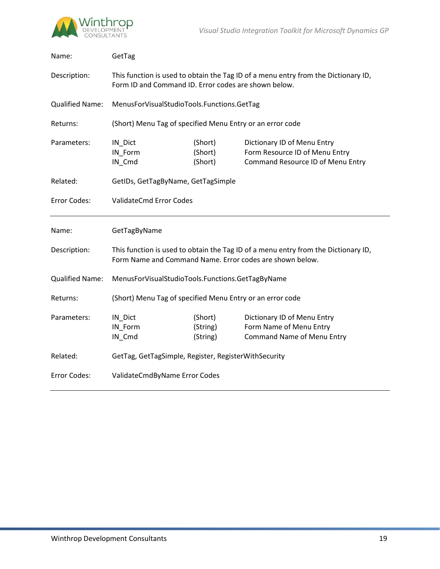

| Name:                  | GetTag                                                                                                                                         |                                 |                                                                                                    |  |
|------------------------|------------------------------------------------------------------------------------------------------------------------------------------------|---------------------------------|----------------------------------------------------------------------------------------------------|--|
| Description:           | This function is used to obtain the Tag ID of a menu entry from the Dictionary ID,<br>Form ID and Command ID. Error codes are shown below.     |                                 |                                                                                                    |  |
| <b>Qualified Name:</b> | MenusForVisualStudioTools.Functions.GetTag                                                                                                     |                                 |                                                                                                    |  |
| Returns:               | (Short) Menu Tag of specified Menu Entry or an error code                                                                                      |                                 |                                                                                                    |  |
| Parameters:            | IN_Dict<br>IN_Form<br>IN_Cmd                                                                                                                   | (Short)<br>(Short)<br>(Short)   | Dictionary ID of Menu Entry<br>Form Resource ID of Menu Entry<br>Command Resource ID of Menu Entry |  |
| Related:               | GetIDs, GetTagByName, GetTagSimple                                                                                                             |                                 |                                                                                                    |  |
| Error Codes:           | <b>ValidateCmd Error Codes</b>                                                                                                                 |                                 |                                                                                                    |  |
| Name:                  | GetTagByName                                                                                                                                   |                                 |                                                                                                    |  |
|                        | This function is used to obtain the Tag ID of a menu entry from the Dictionary ID,<br>Form Name and Command Name. Error codes are shown below. |                                 |                                                                                                    |  |
| Description:           |                                                                                                                                                |                                 |                                                                                                    |  |
| <b>Qualified Name:</b> | MenusForVisualStudioTools.Functions.GetTagByName                                                                                               |                                 |                                                                                                    |  |
| Returns:               | (Short) Menu Tag of specified Menu Entry or an error code                                                                                      |                                 |                                                                                                    |  |
| Parameters:            | IN_Dict<br>IN_Form<br>IN_Cmd                                                                                                                   | (Short)<br>(String)<br>(String) | Dictionary ID of Menu Entry<br>Form Name of Menu Entry<br><b>Command Name of Menu Entry</b>        |  |
| Related:               | GetTag, GetTagSimple, Register, RegisterWithSecurity                                                                                           |                                 |                                                                                                    |  |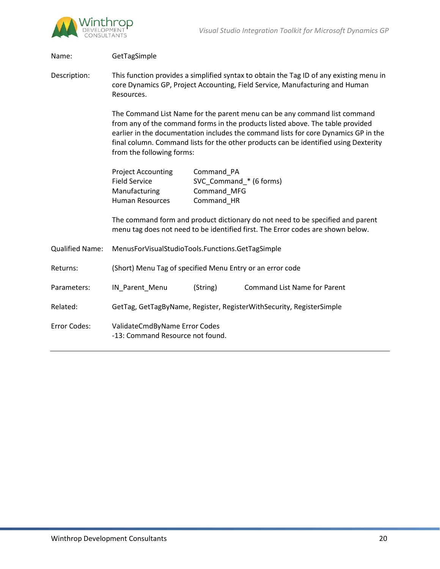

Name: GetTagSimple Description: This function provides a simplified syntax to obtain the Tag ID of any existing menu in core Dynamics GP, Project Accounting, Field Service, Manufacturing and Human Resources. The Command List Name for the parent menu can be any command list command from any of the command forms in the products listed above. The table provided earlier in the documentation includes the command lists for core Dynamics GP in the final column. Command lists for the other products can be identified using Dexterity from the following forms: Project Accounting Command PA Field Service SVC\_Command\_\* (6 forms) Manufacturing Command MFG Human Resources Command\_HR The command form and product dictionary do not need to be specified and parent menu tag does not need to be identified first. The Error codes are shown below. Qualified Name: MenusForVisualStudioTools.Functions.GetTagSimple Returns: (Short) Menu Tag of specified Menu Entry or an error code Parameters: IN\_Parent\_Menu (String) Command List Name for Parent Related: GetTag, GetTagByName, Register, RegisterWithSecurity, RegisterSimple Error Codes: ValidateCmdByName Error Codes -13: Command Resource not found.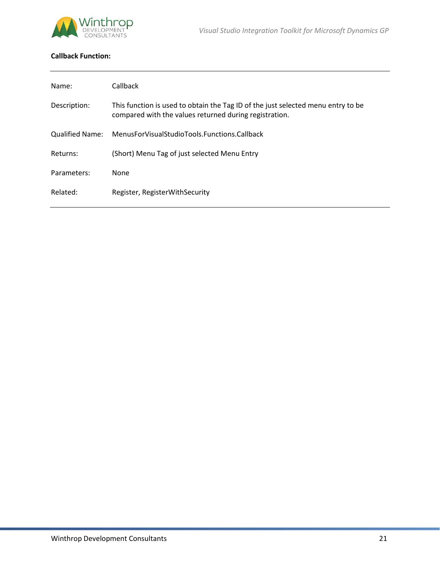

# **Callback Function:**

| Name:           | Callback                                                                                                                                   |
|-----------------|--------------------------------------------------------------------------------------------------------------------------------------------|
| Description:    | This function is used to obtain the Tag ID of the just selected menu entry to be<br>compared with the values returned during registration. |
| Qualified Name: | MenusForVisualStudioTools.Functions.Callback                                                                                               |
| Returns:        | (Short) Menu Tag of just selected Menu Entry                                                                                               |
| Parameters:     | None                                                                                                                                       |
| Related:        | Register, RegisterWithSecurity                                                                                                             |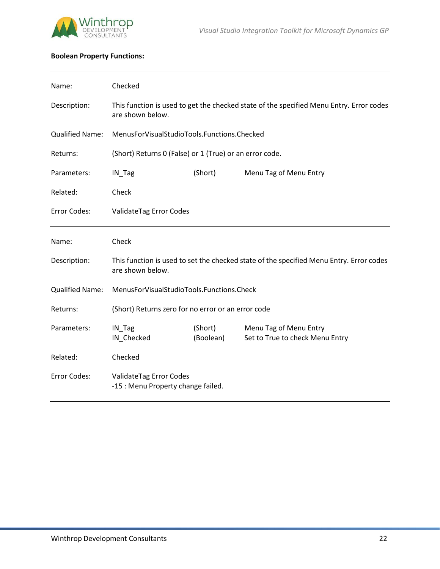

# **Boolean Property Functions:**

| Name:                  | Checked                                                                                                     |                      |                                                           |  |
|------------------------|-------------------------------------------------------------------------------------------------------------|----------------------|-----------------------------------------------------------|--|
| Description:           | This function is used to get the checked state of the specified Menu Entry. Error codes<br>are shown below. |                      |                                                           |  |
| <b>Qualified Name:</b> | MenusForVisualStudioTools.Functions.Checked                                                                 |                      |                                                           |  |
| Returns:               | (Short) Returns 0 (False) or 1 (True) or an error code.                                                     |                      |                                                           |  |
| Parameters:            | (Short)<br>Menu Tag of Menu Entry<br>IN_Tag                                                                 |                      |                                                           |  |
| Related:               | Check                                                                                                       |                      |                                                           |  |
| Error Codes:           | ValidateTag Error Codes                                                                                     |                      |                                                           |  |
| Name:                  | Check                                                                                                       |                      |                                                           |  |
| Description:           | This function is used to set the checked state of the specified Menu Entry. Error codes<br>are shown below. |                      |                                                           |  |
| <b>Qualified Name:</b> | MenusForVisualStudioTools.Functions.Check                                                                   |                      |                                                           |  |
| Returns:               | (Short) Returns zero for no error or an error code                                                          |                      |                                                           |  |
|                        |                                                                                                             |                      |                                                           |  |
| Parameters:            | IN_Tag<br>IN_Checked                                                                                        | (Short)<br>(Boolean) | Menu Tag of Menu Entry<br>Set to True to check Menu Entry |  |
| Related:               | Checked                                                                                                     |                      |                                                           |  |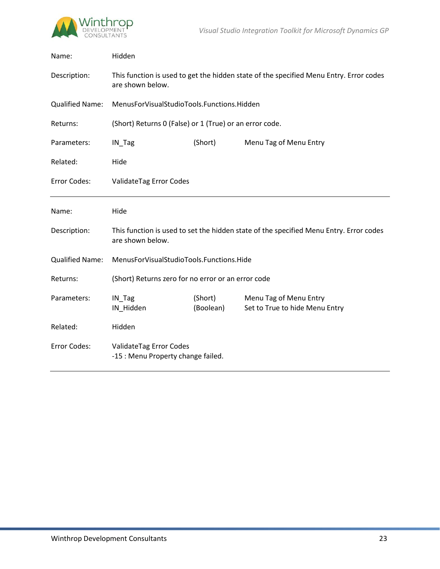

| Name:                  | Hidden                                                                                                     |                      |                                                          |  |
|------------------------|------------------------------------------------------------------------------------------------------------|----------------------|----------------------------------------------------------|--|
| Description:           | This function is used to get the hidden state of the specified Menu Entry. Error codes<br>are shown below. |                      |                                                          |  |
| <b>Qualified Name:</b> | MenusForVisualStudioTools.Functions.Hidden                                                                 |                      |                                                          |  |
| Returns:               | (Short) Returns 0 (False) or 1 (True) or an error code.                                                    |                      |                                                          |  |
| Parameters:            | IN_Tag                                                                                                     | (Short)              | Menu Tag of Menu Entry                                   |  |
| Related:               | Hide                                                                                                       |                      |                                                          |  |
| Error Codes:           | ValidateTag Error Codes                                                                                    |                      |                                                          |  |
| Name:                  | Hide                                                                                                       |                      |                                                          |  |
| Description:           | This function is used to set the hidden state of the specified Menu Entry. Error codes<br>are shown below. |                      |                                                          |  |
| <b>Qualified Name:</b> | MenusForVisualStudioTools.Functions.Hide                                                                   |                      |                                                          |  |
| Returns:               | (Short) Returns zero for no error or an error code                                                         |                      |                                                          |  |
| Parameters:            |                                                                                                            |                      |                                                          |  |
|                        | IN_Tag<br>IN_Hidden                                                                                        | (Short)<br>(Boolean) | Menu Tag of Menu Entry<br>Set to True to hide Menu Entry |  |
| Related:               | Hidden                                                                                                     |                      |                                                          |  |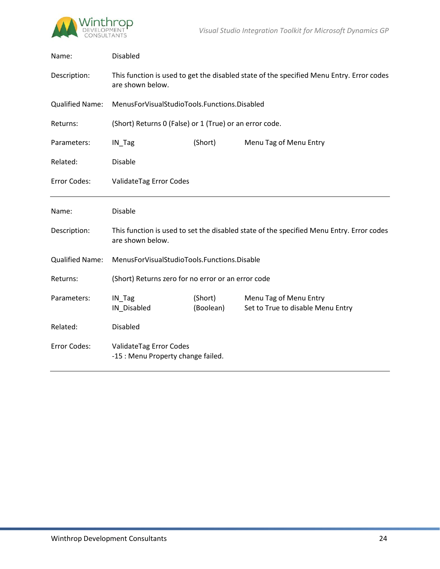

| Name:                  | <b>Disabled</b>                                                                                              |                      |                                                             |  |
|------------------------|--------------------------------------------------------------------------------------------------------------|----------------------|-------------------------------------------------------------|--|
| Description:           | This function is used to get the disabled state of the specified Menu Entry. Error codes<br>are shown below. |                      |                                                             |  |
| <b>Qualified Name:</b> | MenusForVisualStudioTools.Functions.Disabled                                                                 |                      |                                                             |  |
| Returns:               | (Short) Returns 0 (False) or 1 (True) or an error code.                                                      |                      |                                                             |  |
| Parameters:            | IN_Tag                                                                                                       | (Short)              | Menu Tag of Menu Entry                                      |  |
| Related:               | Disable                                                                                                      |                      |                                                             |  |
| Error Codes:           | ValidateTag Error Codes                                                                                      |                      |                                                             |  |
| Name:                  | <b>Disable</b>                                                                                               |                      |                                                             |  |
| Description:           | This function is used to set the disabled state of the specified Menu Entry. Error codes<br>are shown below. |                      |                                                             |  |
| <b>Qualified Name:</b> | MenusForVisualStudioTools.Functions.Disable                                                                  |                      |                                                             |  |
| Returns:               | (Short) Returns zero for no error or an error code                                                           |                      |                                                             |  |
| Parameters:            | IN_Tag<br>IN_Disabled                                                                                        | (Short)<br>(Boolean) | Menu Tag of Menu Entry<br>Set to True to disable Menu Entry |  |
| Related:               | <b>Disabled</b>                                                                                              |                      |                                                             |  |
| Error Codes:           | ValidateTag Error Codes<br>-15 : Menu Property change failed.                                                |                      |                                                             |  |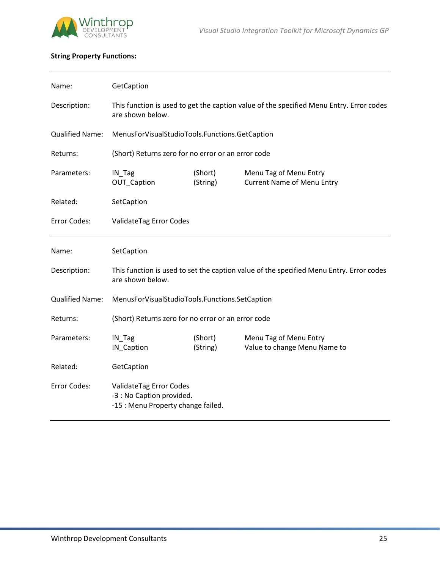

# **String Property Functions:**

| Name:                  | GetCaption                                                                                                  |                     |                                                             |  |
|------------------------|-------------------------------------------------------------------------------------------------------------|---------------------|-------------------------------------------------------------|--|
| Description:           | This function is used to get the caption value of the specified Menu Entry. Error codes<br>are shown below. |                     |                                                             |  |
| <b>Qualified Name:</b> | MenusForVisualStudioTools.Functions.GetCaption                                                              |                     |                                                             |  |
| Returns:               | (Short) Returns zero for no error or an error code                                                          |                     |                                                             |  |
| Parameters:            | IN_Tag<br>OUT_Caption                                                                                       | (Short)<br>(String) | Menu Tag of Menu Entry<br><b>Current Name of Menu Entry</b> |  |
| Related:               | SetCaption                                                                                                  |                     |                                                             |  |
| Error Codes:           | ValidateTag Error Codes                                                                                     |                     |                                                             |  |
| Name:                  | SetCaption                                                                                                  |                     |                                                             |  |
| Description:           | This function is used to set the caption value of the specified Menu Entry. Error codes<br>are shown below. |                     |                                                             |  |
| <b>Qualified Name:</b> | MenusForVisualStudioTools.Functions.SetCaption                                                              |                     |                                                             |  |
| Returns:               | (Short) Returns zero for no error or an error code                                                          |                     |                                                             |  |
| Parameters:            | $IN_Tag$<br>IN_Caption                                                                                      | (Short)<br>(String) | Menu Tag of Menu Entry<br>Value to change Menu Name to      |  |
| Related:               | GetCaption                                                                                                  |                     |                                                             |  |
| Error Codes:           | ValidateTag Error Codes<br>-3 : No Caption provided.<br>-15 : Menu Property change failed.                  |                     |                                                             |  |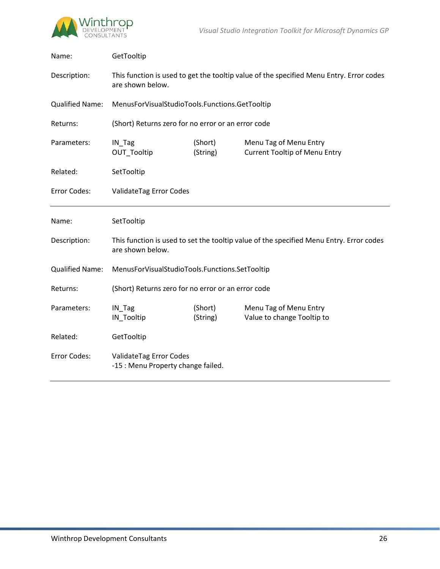

| Name:                  | GetTooltip                                                                                                  |                     |                                                                                         |  |
|------------------------|-------------------------------------------------------------------------------------------------------------|---------------------|-----------------------------------------------------------------------------------------|--|
| Description:           | This function is used to get the tooltip value of the specified Menu Entry. Error codes<br>are shown below. |                     |                                                                                         |  |
| <b>Qualified Name:</b> | MenusForVisualStudioTools.Functions.GetTooltip                                                              |                     |                                                                                         |  |
| Returns:               | (Short) Returns zero for no error or an error code                                                          |                     |                                                                                         |  |
| Parameters:            | IN_Tag<br>OUT_Tooltip                                                                                       | (Short)<br>(String) | Menu Tag of Menu Entry<br><b>Current Tooltip of Menu Entry</b>                          |  |
| Related:               | SetTooltip                                                                                                  |                     |                                                                                         |  |
| Error Codes:           | ValidateTag Error Codes                                                                                     |                     |                                                                                         |  |
|                        | SetTooltip                                                                                                  |                     |                                                                                         |  |
| Name:                  |                                                                                                             |                     |                                                                                         |  |
| Description:           | are shown below.                                                                                            |                     | This function is used to set the tooltip value of the specified Menu Entry. Error codes |  |
| <b>Qualified Name:</b> | MenusForVisualStudioTools.Functions.SetTooltip                                                              |                     |                                                                                         |  |
| Returns:               | (Short) Returns zero for no error or an error code                                                          |                     |                                                                                         |  |
| Parameters:            | IN_Tag<br>IN_Tooltip                                                                                        | (Short)<br>(String) | Menu Tag of Menu Entry<br>Value to change Tooltip to                                    |  |
| Related:               | GetTooltip                                                                                                  |                     |                                                                                         |  |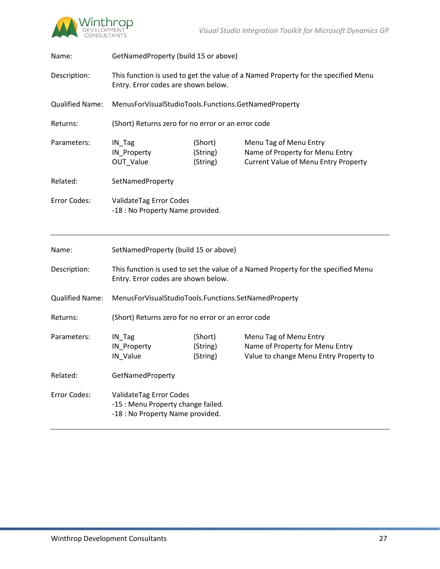

| Name:                  | GetNamedProperty (build 15 or above)                                                                                     |                                 |                                                                                                          |  |
|------------------------|--------------------------------------------------------------------------------------------------------------------------|---------------------------------|----------------------------------------------------------------------------------------------------------|--|
| Description:           | This function is used to get the value of a Named Property for the specified Menu<br>Entry. Error codes are shown below. |                                 |                                                                                                          |  |
| <b>Qualified Name:</b> | MenusForVisualStudioTools.Functions.GetNamedProperty                                                                     |                                 |                                                                                                          |  |
| Returns:               | (Short) Returns zero for no error or an error code                                                                       |                                 |                                                                                                          |  |
| Parameters:            | IN_Tag<br>IN_Property<br><b>OUT Value</b>                                                                                | (Short)<br>(String)<br>(String) | Menu Tag of Menu Entry<br>Name of Property for Menu Entry<br><b>Current Value of Menu Entry Property</b> |  |
| Related:               | SetNamedProperty                                                                                                         |                                 |                                                                                                          |  |
| Error Codes:           | ValidateTag Error Codes<br>-18 : No Property Name provided.                                                              |                                 |                                                                                                          |  |
|                        |                                                                                                                          |                                 |                                                                                                          |  |
| Name:                  | SetNamedProperty (build 15 or above)                                                                                     |                                 |                                                                                                          |  |
| Description:           | Entry. Error codes are shown below.                                                                                      |                                 | This function is used to set the value of a Named Property for the specified Menu                        |  |
| <b>Qualified Name:</b> | MenusForVisualStudioTools.Functions.SetNamedProperty                                                                     |                                 |                                                                                                          |  |
| Returns:               | (Short) Returns zero for no error or an error code                                                                       |                                 |                                                                                                          |  |
| Parameters:            | IN_Tag<br>IN_Property<br>IN_Value                                                                                        | (Short)<br>(String)<br>(String) | Menu Tag of Menu Entry<br>Name of Property for Menu Entry<br>Value to change Menu Entry Property to      |  |
| Related:               | GetNamedProperty                                                                                                         |                                 |                                                                                                          |  |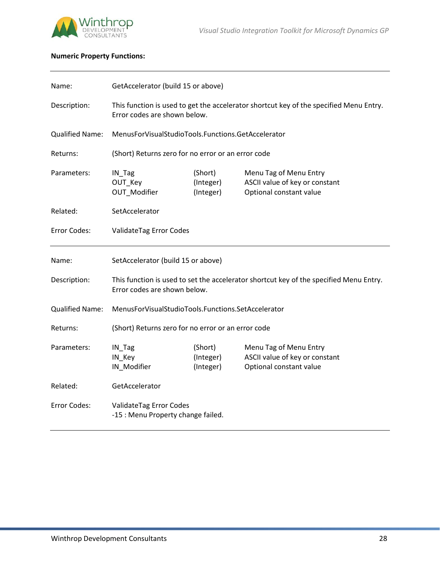

# **Numeric Property Functions:**

| Name:                  | GetAccelerator (build 15 or above)                                                                                     |                                   |                                                                                     |  |
|------------------------|------------------------------------------------------------------------------------------------------------------------|-----------------------------------|-------------------------------------------------------------------------------------|--|
| Description:           | This function is used to get the accelerator shortcut key of the specified Menu Entry.<br>Error codes are shown below. |                                   |                                                                                     |  |
| <b>Qualified Name:</b> | MenusForVisualStudioTools.Functions.GetAccelerator                                                                     |                                   |                                                                                     |  |
| Returns:               | (Short) Returns zero for no error or an error code                                                                     |                                   |                                                                                     |  |
| Parameters:            | IN_Tag<br>OUT Key<br>OUT_Modifier                                                                                      | (Short)<br>(Integer)<br>(Integer) | Menu Tag of Menu Entry<br>ASCII value of key or constant<br>Optional constant value |  |
| Related:               | SetAccelerator                                                                                                         |                                   |                                                                                     |  |
| Error Codes:           | ValidateTag Error Codes                                                                                                |                                   |                                                                                     |  |
| Name:                  | SetAccelerator (build 15 or above)                                                                                     |                                   |                                                                                     |  |
| Description:           | This function is used to set the accelerator shortcut key of the specified Menu Entry.<br>Error codes are shown below. |                                   |                                                                                     |  |
| <b>Qualified Name:</b> | MenusForVisualStudioTools.Functions.SetAccelerator                                                                     |                                   |                                                                                     |  |
| Returns:               | (Short) Returns zero for no error or an error code                                                                     |                                   |                                                                                     |  |
| Parameters:            | IN_Tag<br>IN_Key<br>IN_Modifier                                                                                        | (Short)<br>(Integer)<br>(Integer) | Menu Tag of Menu Entry<br>ASCII value of key or constant<br>Optional constant value |  |
| Related:               | GetAccelerator                                                                                                         |                                   |                                                                                     |  |
| Error Codes:           | ValidateTag Error Codes<br>-15 : Menu Property change failed.                                                          |                                   |                                                                                     |  |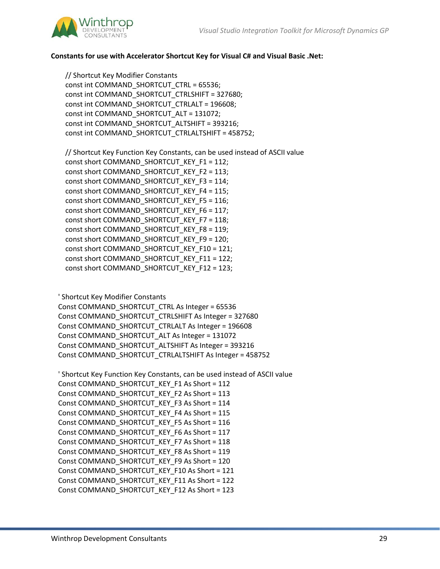

## **Constants for use with Accelerator Shortcut Key for Visual C# and Visual Basic .Net:**

 // Shortcut Key Modifier Constants const int COMMAND\_SHORTCUT\_CTRL = 65536; const int COMMAND\_SHORTCUT\_CTRLSHIFT = 327680; const int COMMAND\_SHORTCUT\_CTRLALT = 196608; const int COMMAND\_SHORTCUT\_ALT = 131072; const int COMMAND\_SHORTCUT\_ALTSHIFT = 393216; const int COMMAND\_SHORTCUT\_CTRLALTSHIFT = 458752;

 // Shortcut Key Function Key Constants, can be used instead of ASCII value const short COMMAND\_SHORTCUT\_KEY\_F1 = 112; const short COMMAND\_SHORTCUT\_KEY\_F2 = 113; const short COMMAND\_SHORTCUT\_KEY\_F3 = 114; const short COMMAND\_SHORTCUT\_KEY\_F4 = 115; const short COMMAND\_SHORTCUT\_KEY\_F5 = 116; const short COMMAND\_SHORTCUT\_KEY\_F6 = 117; const short COMMAND\_SHORTCUT\_KEY\_F7 = 118; const short COMMAND\_SHORTCUT\_KEY\_F8 = 119; const short COMMAND\_SHORTCUT\_KEY\_F9 = 120; const short COMMAND\_SHORTCUT\_KEY\_F10 = 121; const short COMMAND\_SHORTCUT\_KEY\_F11 = 122; const short COMMAND\_SHORTCUT\_KEY\_F12 = 123;

' Shortcut Key Modifier Constants

 Const COMMAND\_SHORTCUT\_CTRL As Integer = 65536 Const COMMAND\_SHORTCUT\_CTRLSHIFT As Integer = 327680 Const COMMAND\_SHORTCUT\_CTRLALT As Integer = 196608 Const COMMAND\_SHORTCUT\_ALT As Integer = 131072 Const COMMAND\_SHORTCUT\_ALTSHIFT As Integer = 393216 Const COMMAND\_SHORTCUT\_CTRLALTSHIFT As Integer = 458752

```
 ' Shortcut Key Function Key Constants, can be used instead of ASCII value
 Const COMMAND_SHORTCUT_KEY_F1 As Short = 112
 Const COMMAND_SHORTCUT_KEY_F2 As Short = 113
 Const COMMAND_SHORTCUT_KEY_F3 As Short = 114
 Const COMMAND_SHORTCUT_KEY_F4 As Short = 115
 Const COMMAND_SHORTCUT_KEY_F5 As Short = 116
 Const COMMAND_SHORTCUT_KEY_F6 As Short = 117
 Const COMMAND_SHORTCUT_KEY_F7 As Short = 118
 Const COMMAND_SHORTCUT_KEY_F8 As Short = 119
 Const COMMAND_SHORTCUT_KEY_F9 As Short = 120
 Const COMMAND_SHORTCUT_KEY_F10 As Short = 121
 Const COMMAND_SHORTCUT_KEY_F11 As Short = 122
 Const COMMAND_SHORTCUT_KEY_F12 As Short = 123
```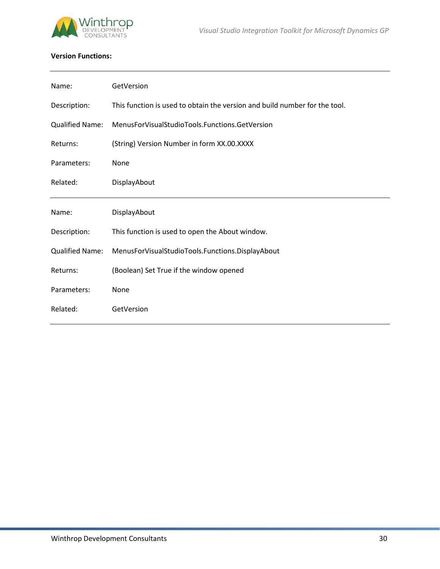

# **Version Functions:**

| Name:                  | GetVersion                                                                 |
|------------------------|----------------------------------------------------------------------------|
| Description:           | This function is used to obtain the version and build number for the tool. |
| <b>Qualified Name:</b> | MenusForVisualStudioTools.Functions.GetVersion                             |
| Returns:               | (String) Version Number in form XX.00.XXXX                                 |
| Parameters:            | None                                                                       |
| Related:               | DisplayAbout                                                               |
|                        |                                                                            |
| Name:                  | DisplayAbout                                                               |
| Description:           | This function is used to open the About window.                            |
| <b>Qualified Name:</b> | MenusForVisualStudioTools.Functions.DisplayAbout                           |
| Returns:               | (Boolean) Set True if the window opened                                    |
| Parameters:            | None                                                                       |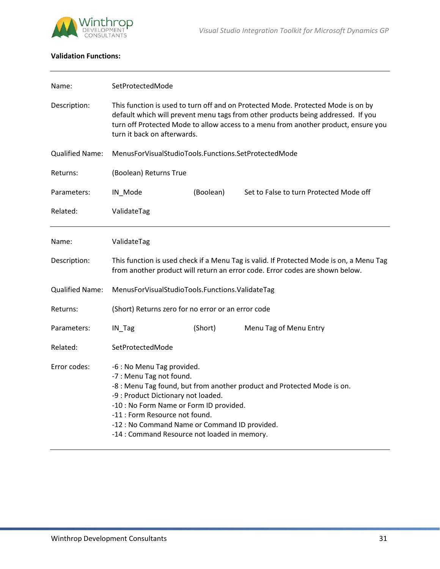

# **Validation Functions:**

| Name:                  | SetProtectedMode                                                                                                                                                                                                                                                            |           |                                                                                                                                                                                                                                                            |  |
|------------------------|-----------------------------------------------------------------------------------------------------------------------------------------------------------------------------------------------------------------------------------------------------------------------------|-----------|------------------------------------------------------------------------------------------------------------------------------------------------------------------------------------------------------------------------------------------------------------|--|
| Description:           | turn it back on afterwards.                                                                                                                                                                                                                                                 |           | This function is used to turn off and on Protected Mode. Protected Mode is on by<br>default which will prevent menu tags from other products being addressed. If you<br>turn off Protected Mode to allow access to a menu from another product, ensure you |  |
| <b>Qualified Name:</b> | MenusForVisualStudioTools.Functions.SetProtectedMode                                                                                                                                                                                                                        |           |                                                                                                                                                                                                                                                            |  |
| Returns:               | (Boolean) Returns True                                                                                                                                                                                                                                                      |           |                                                                                                                                                                                                                                                            |  |
| Parameters:            | IN_Mode                                                                                                                                                                                                                                                                     | (Boolean) | Set to False to turn Protected Mode off                                                                                                                                                                                                                    |  |
| Related:               | ValidateTag                                                                                                                                                                                                                                                                 |           |                                                                                                                                                                                                                                                            |  |
| Name:                  | ValidateTag                                                                                                                                                                                                                                                                 |           |                                                                                                                                                                                                                                                            |  |
| Description:           |                                                                                                                                                                                                                                                                             |           | This function is used check if a Menu Tag is valid. If Protected Mode is on, a Menu Tag<br>from another product will return an error code. Error codes are shown below.                                                                                    |  |
| <b>Qualified Name:</b> | MenusForVisualStudioTools.Functions.ValidateTag                                                                                                                                                                                                                             |           |                                                                                                                                                                                                                                                            |  |
| Returns:               | (Short) Returns zero for no error or an error code                                                                                                                                                                                                                          |           |                                                                                                                                                                                                                                                            |  |
| Parameters:            | IN_Tag                                                                                                                                                                                                                                                                      | (Short)   | Menu Tag of Menu Entry                                                                                                                                                                                                                                     |  |
| Related:               | SetProtectedMode                                                                                                                                                                                                                                                            |           |                                                                                                                                                                                                                                                            |  |
| Error codes:           | -6 : No Menu Tag provided.<br>-7 : Menu Tag not found.<br>-9 : Product Dictionary not loaded.<br>-10 : No Form Name or Form ID provided.<br>-11 : Form Resource not found.<br>-12 : No Command Name or Command ID provided.<br>-14 : Command Resource not loaded in memory. |           | -8 : Menu Tag found, but from another product and Protected Mode is on.                                                                                                                                                                                    |  |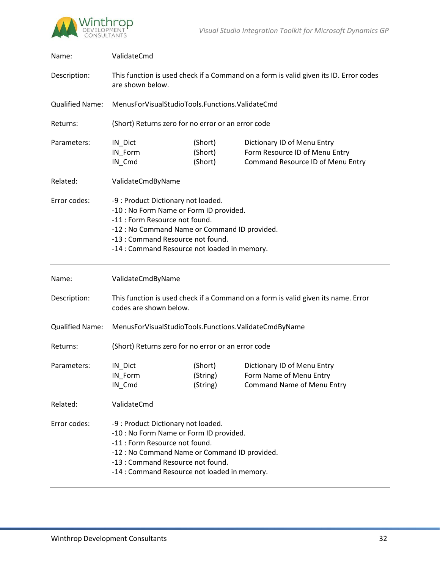

| Name:                  | ValidateCmd                                                                                                                                                                                                                                            |                                                 |                                                                                                    |  |  |
|------------------------|--------------------------------------------------------------------------------------------------------------------------------------------------------------------------------------------------------------------------------------------------------|-------------------------------------------------|----------------------------------------------------------------------------------------------------|--|--|
| Description:           | This function is used check if a Command on a form is valid given its ID. Error codes<br>are shown below.                                                                                                                                              |                                                 |                                                                                                    |  |  |
| <b>Qualified Name:</b> |                                                                                                                                                                                                                                                        | MenusForVisualStudioTools.Functions.ValidateCmd |                                                                                                    |  |  |
| Returns:               | (Short) Returns zero for no error or an error code                                                                                                                                                                                                     |                                                 |                                                                                                    |  |  |
| Parameters:            | IN_Dict<br>IN Form<br>IN_Cmd                                                                                                                                                                                                                           | (Short)<br>(Short)<br>(Short)                   | Dictionary ID of Menu Entry<br>Form Resource ID of Menu Entry<br>Command Resource ID of Menu Entry |  |  |
| Related:               | ValidateCmdByName                                                                                                                                                                                                                                      |                                                 |                                                                                                    |  |  |
| Error codes:           | -9 : Product Dictionary not loaded.<br>-10 : No Form Name or Form ID provided.<br>-11 : Form Resource not found.<br>-12 : No Command Name or Command ID provided.<br>-13 : Command Resource not found.<br>-14 : Command Resource not loaded in memory. |                                                 |                                                                                                    |  |  |
| Name:                  | ValidateCmdByName                                                                                                                                                                                                                                      |                                                 |                                                                                                    |  |  |
|                        |                                                                                                                                                                                                                                                        |                                                 |                                                                                                    |  |  |
| Description:           | codes are shown below.                                                                                                                                                                                                                                 |                                                 | This function is used check if a Command on a form is valid given its name. Error                  |  |  |
| <b>Qualified Name:</b> | MenusForVisualStudioTools.Functions.ValidateCmdByName                                                                                                                                                                                                  |                                                 |                                                                                                    |  |  |
| Returns:               | (Short) Returns zero for no error or an error code                                                                                                                                                                                                     |                                                 |                                                                                                    |  |  |
| Parameters:            | IN_Dict<br>IN_Form<br>IN_Cmd                                                                                                                                                                                                                           | (Short)<br>(String)<br>(String)                 | Dictionary ID of Menu Entry<br>Form Name of Menu Entry<br><b>Command Name of Menu Entry</b>        |  |  |
| Related:               | ValidateCmd                                                                                                                                                                                                                                            |                                                 |                                                                                                    |  |  |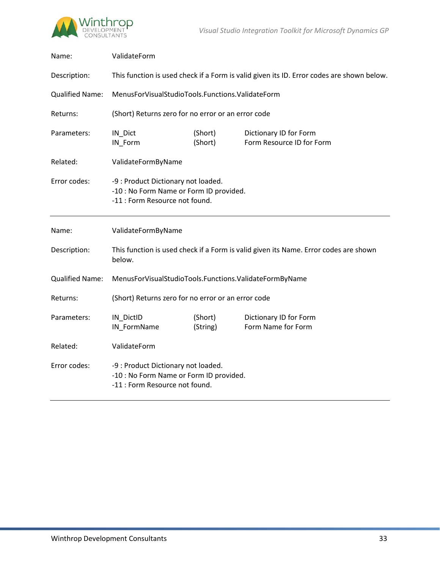



| Name:                  | ValidateForm                                                                                                     |                     |                                                     |  |
|------------------------|------------------------------------------------------------------------------------------------------------------|---------------------|-----------------------------------------------------|--|
| Description:           | This function is used check if a Form is valid given its ID. Error codes are shown below.                        |                     |                                                     |  |
| <b>Qualified Name:</b> | MenusForVisualStudioTools.Functions.ValidateForm                                                                 |                     |                                                     |  |
| Returns:               | (Short) Returns zero for no error or an error code                                                               |                     |                                                     |  |
| Parameters:            | IN_Dict<br>IN Form                                                                                               | (Short)<br>(Short)  | Dictionary ID for Form<br>Form Resource ID for Form |  |
| Related:               | ValidateFormByName                                                                                               |                     |                                                     |  |
| Error codes:           | -9 : Product Dictionary not loaded.<br>-10 : No Form Name or Form ID provided.<br>-11 : Form Resource not found. |                     |                                                     |  |
| Name:                  | ValidateFormByName                                                                                               |                     |                                                     |  |
| Description:           | This function is used check if a Form is valid given its Name. Error codes are shown<br>below.                   |                     |                                                     |  |
| <b>Qualified Name:</b> | MenusForVisualStudioTools.Functions.ValidateFormByName                                                           |                     |                                                     |  |
| Returns:               | (Short) Returns zero for no error or an error code                                                               |                     |                                                     |  |
| Parameters:            | IN_DictID<br>IN_FormName                                                                                         | (Short)<br>(String) | Dictionary ID for Form<br>Form Name for Form        |  |
| Related:               | ValidateForm                                                                                                     |                     |                                                     |  |
| Error codes:           | -9 : Product Dictionary not loaded.<br>-10 : No Form Name or Form ID provided.<br>-11 : Form Resource not found. |                     |                                                     |  |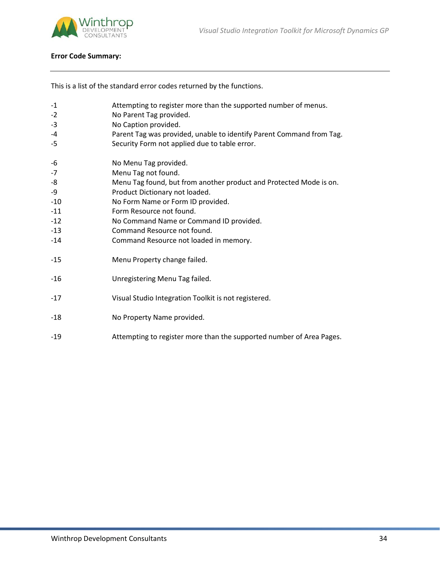



# **Error Code Summary:**

This is a list of the standard error codes returned by the functions.

| $-1$<br>$-2$<br>$-3$<br>$-4$<br>$-5$                                | Attempting to register more than the supported number of menus.<br>No Parent Tag provided.<br>No Caption provided.<br>Parent Tag was provided, unable to identify Parent Command from Tag.<br>Security Form not applied due to table error.                                                                                               |
|---------------------------------------------------------------------|-------------------------------------------------------------------------------------------------------------------------------------------------------------------------------------------------------------------------------------------------------------------------------------------------------------------------------------------|
| -6<br>$-7$<br>-8<br>-9<br>$-10$<br>$-11$<br>$-12$<br>$-13$<br>$-14$ | No Menu Tag provided.<br>Menu Tag not found.<br>Menu Tag found, but from another product and Protected Mode is on.<br>Product Dictionary not loaded.<br>No Form Name or Form ID provided.<br>Form Resource not found.<br>No Command Name or Command ID provided.<br>Command Resource not found.<br>Command Resource not loaded in memory. |
| $-15$                                                               | Menu Property change failed.                                                                                                                                                                                                                                                                                                              |
| $-16$                                                               | Unregistering Menu Tag failed.                                                                                                                                                                                                                                                                                                            |
| $-17$                                                               | Visual Studio Integration Toolkit is not registered.                                                                                                                                                                                                                                                                                      |
| $-18$                                                               | No Property Name provided.                                                                                                                                                                                                                                                                                                                |
| $-19$                                                               | Attempting to register more than the supported number of Area Pages.                                                                                                                                                                                                                                                                      |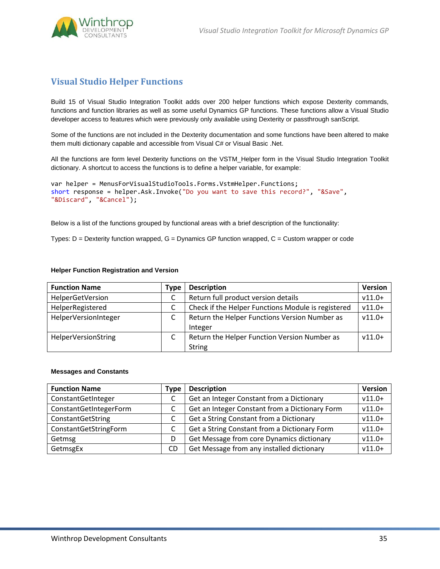

# **Visual Studio Helper Functions**

Build 15 of Visual Studio Integration Toolkit adds over 200 helper functions which expose Dexterity commands, functions and function libraries as well as some useful Dynamics GP functions. These functions allow a Visual Studio developer access to features which were previously only available using Dexterity or passthrough sanScript.

Some of the functions are not included in the Dexterity documentation and some functions have been altered to make them multi dictionary capable and accessible from Visual C# or Visual Basic .Net.

All the functions are form level Dexterity functions on the VSTM\_Helper form in the Visual Studio Integration Toolkit dictionary. A shortcut to access the functions is to define a helper variable, for example:

```
var helper = MenusForVisualStudioTools.Forms.VstmHelper.Functions;
short response = helper.Ask.Invoke("Do you want to save this record?", "&Save", 
"&Discard", "&Cancel");
```
Below is a list of the functions grouped by functional areas with a brief description of the functionality:

Types:  $D =$  Dexterity function wrapped,  $G =$  Dynamics GP function wrapped,  $C =$  Custom wrapper or code

#### **Helper Function Registration and Version**

| <b>Function Name</b>       | Type | <b>Description</b>                                 | <b>Version</b> |
|----------------------------|------|----------------------------------------------------|----------------|
| HelperGetVersion           |      | Return full product version details                | $v11.0+$       |
| HelperRegistered           |      | Check if the Helper Functions Module is registered | $v11.0+$       |
| HelperVersionInteger       |      | Return the Helper Functions Version Number as      | $v11.0+$       |
|                            |      | Integer                                            |                |
| <b>HelperVersionString</b> |      | Return the Helper Function Version Number as       | $v11.0+$       |
|                            |      | <b>String</b>                                      |                |

#### **Messages and Constants**

| <b>Function Name</b>   | Type | <b>Description</b>                             | <b>Version</b> |
|------------------------|------|------------------------------------------------|----------------|
| ConstantGetInteger     |      | Get an Integer Constant from a Dictionary      | $v11.0+$       |
| ConstantGetIntegerForm |      | Get an Integer Constant from a Dictionary Form | $v11.0+$       |
| ConstantGetString      |      | Get a String Constant from a Dictionary        | $v11.0+$       |
| ConstantGetStringForm  |      | Get a String Constant from a Dictionary Form   | $v11.0+$       |
| Getmsg                 | D    | Get Message from core Dynamics dictionary      | $v11.0+$       |
| GetmsgEx               | CD.  | Get Message from any installed dictionary      | $v11.0+$       |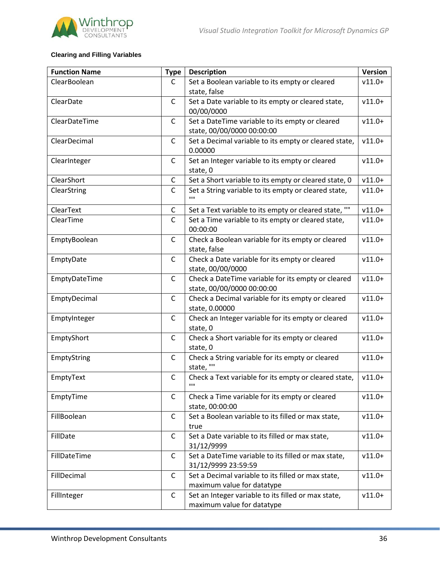

# **Clearing and Filling Variables**

| <b>Function Name</b> | <b>Type</b>  | <b>Description</b>                                                   | <b>Version</b> |
|----------------------|--------------|----------------------------------------------------------------------|----------------|
| ClearBoolean         | C            | Set a Boolean variable to its empty or cleared                       | $v11.0+$       |
|                      |              | state, false                                                         |                |
| ClearDate            | C            | Set a Date variable to its empty or cleared state,                   | $v11.0+$       |
|                      |              | 00/00/0000                                                           |                |
| ClearDateTime        | $\mathsf{C}$ | Set a DateTime variable to its empty or cleared                      | $v11.0+$       |
|                      |              | state, 00/00/0000 00:00:00                                           |                |
| ClearDecimal         | C            | Set a Decimal variable to its empty or cleared state,                | $v11.0+$       |
|                      |              | 0.00000                                                              |                |
| ClearInteger         | $\mathsf{C}$ | Set an Integer variable to its empty or cleared                      | $v11.0+$       |
|                      |              | state, 0                                                             |                |
| ClearShort           | C            | Set a Short variable to its empty or cleared state, 0                | $v11.0+$       |
| ClearString          | $\mathsf{C}$ | Set a String variable to its empty or cleared state,<br>$\mathbf{H}$ | $v11.0+$       |
| ClearText            | С            | Set a Text variable to its empty or cleared state, ""                | $v11.0+$       |
| ClearTime            | $\mathsf{C}$ | Set a Time variable to its empty or cleared state,                   | $v11.0+$       |
|                      |              | 00:00:00                                                             |                |
| EmptyBoolean         | $\mathsf{C}$ | Check a Boolean variable for its empty or cleared                    | $v11.0+$       |
|                      |              | state, false                                                         |                |
| EmptyDate            | $\mathsf{C}$ | Check a Date variable for its empty or cleared                       | $v11.0+$       |
|                      |              | state, 00/00/0000                                                    |                |
| EmptyDateTime        | $\mathsf{C}$ | Check a DateTime variable for its empty or cleared                   | $v11.0+$       |
|                      |              | state, 00/00/0000 00:00:00                                           |                |
| EmptyDecimal         | $\mathsf{C}$ | Check a Decimal variable for its empty or cleared                    | $v11.0+$       |
|                      |              | state, 0.00000                                                       |                |
| EmptyInteger         | $\mathsf{C}$ | Check an Integer variable for its empty or cleared                   | $v11.0+$       |
|                      | $\mathsf{C}$ | state, 0                                                             |                |
| EmptyShort           |              | Check a Short variable for its empty or cleared<br>state, 0          | $v11.0+$       |
| EmptyString          | $\mathsf{C}$ | Check a String variable for its empty or cleared                     | $v11.0+$       |
|                      |              | state, "'                                                            |                |
| EmptyText            | $\mathsf{C}$ | Check a Text variable for its empty or cleared state,                | $v11.0+$       |
|                      |              | $\mathbf{H}$                                                         |                |
| EmptyTime            | $\mathsf{C}$ | Check a Time variable for its empty or cleared                       | $v11.0+$       |
|                      |              | state, 00:00:00                                                      |                |
| FillBoolean          | $\mathsf{C}$ | Set a Boolean variable to its filled or max state,                   | $v11.0+$       |
|                      |              | true                                                                 |                |
| FillDate             | C            | Set a Date variable to its filled or max state,                      | $v11.0+$       |
|                      |              | 31/12/9999                                                           |                |
| FillDateTime         | C            | Set a DateTime variable to its filled or max state,                  | $v11.0+$       |
|                      |              | 31/12/9999 23:59:59                                                  |                |
| FillDecimal          | $\mathsf{C}$ | Set a Decimal variable to its filled or max state,                   | $v11.0+$       |
|                      |              | maximum value for datatype                                           |                |
| FillInteger          | $\mathsf{C}$ | Set an Integer variable to its filled or max state,                  | $v11.0+$       |
|                      |              | maximum value for datatype                                           |                |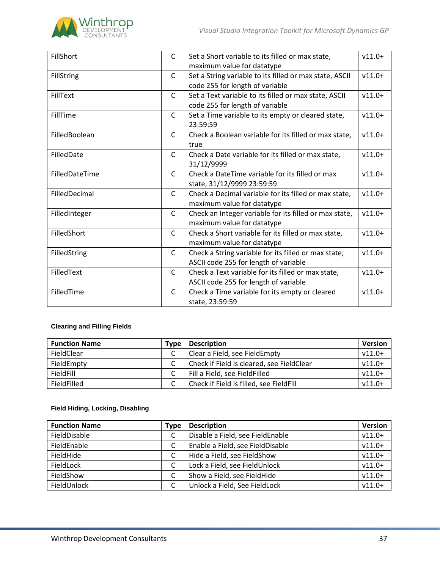

| FillShort         | $\mathsf{C}$ | Set a Short variable to its filled or max state,        | $v11.0+$ |
|-------------------|--------------|---------------------------------------------------------|----------|
|                   |              | maximum value for datatype                              |          |
| <b>FillString</b> | $\mathsf{C}$ | Set a String variable to its filled or max state, ASCII | $v11.0+$ |
|                   |              | code 255 for length of variable                         |          |
| FillText          | $\mathsf{C}$ | Set a Text variable to its filled or max state, ASCII   | $v11.0+$ |
|                   |              | code 255 for length of variable                         |          |
| FillTime          | $\mathsf{C}$ | Set a Time variable to its empty or cleared state,      | $v11.0+$ |
|                   |              | 23:59:59                                                |          |
| FilledBoolean     | $\mathsf{C}$ | Check a Boolean variable for its filled or max state,   | $v11.0+$ |
|                   |              | true                                                    |          |
| FilledDate        | C            | Check a Date variable for its filled or max state,      | $v11.0+$ |
|                   |              | 31/12/9999                                              |          |
| FilledDateTime    | $\mathsf{C}$ | Check a DateTime variable for its filled or max         | $v11.0+$ |
|                   |              | state, 31/12/9999 23:59:59                              |          |
| FilledDecimal     | $\mathsf{C}$ | Check a Decimal variable for its filled or max state,   | $v11.0+$ |
|                   |              | maximum value for datatype                              |          |
| FilledInteger     | $\mathsf{C}$ | Check an Integer variable for its filled or max state,  | $v11.0+$ |
|                   |              | maximum value for datatype                              |          |
| FilledShort       | $\mathsf{C}$ | Check a Short variable for its filled or max state,     | $v11.0+$ |
|                   |              | maximum value for datatype                              |          |
| FilledString      | $\mathsf{C}$ | Check a String variable for its filled or max state,    | $v11.0+$ |
|                   |              | ASCII code 255 for length of variable                   |          |
| FilledText        | $\mathsf{C}$ | Check a Text variable for its filled or max state,      | $v11.0+$ |
|                   |              | ASCII code 255 for length of variable                   |          |
| FilledTime        | $\mathsf{C}$ | Check a Time variable for its empty or cleared          | $v11.0+$ |
|                   |              | state, 23:59:59                                         |          |

# **Clearing and Filling Fields**

| <b>Function Name</b> | Type | <b>Description</b>                        | <b>Version</b> |
|----------------------|------|-------------------------------------------|----------------|
| FieldClear           |      | Clear a Field, see FieldEmpty             | $v11.0+$       |
| FieldEmpty           |      | Check if Field is cleared, see FieldClear | $v11.0+$       |
| FieldFill            |      | Fill a Field, see FieldFilled             | $v11.0+$       |
| FieldFilled          |      | Check if Field is filled, see FieldFill   | $v11.0+$       |

## **Field Hiding, Locking, Disabling**

| <b>Function Name</b> | Type | <b>Description</b>               | <b>Version</b> |
|----------------------|------|----------------------------------|----------------|
| FieldDisable         | C    | Disable a Field, see FieldEnable | $v11.0+$       |
| FieldEnable          | C    | Enable a Field, see FieldDisable | $v11.0+$       |
| FieldHide            | C    | Hide a Field, see FieldShow      | $v11.0+$       |
| FieldLock            | C    | Lock a Field, see FieldUnlock    | $v11.0+$       |
| FieldShow            | C    | Show a Field, see FieldHide      | $v11.0+$       |
| FieldUnlock          |      | Unlock a Field, See FieldLock    | $v11.0+$       |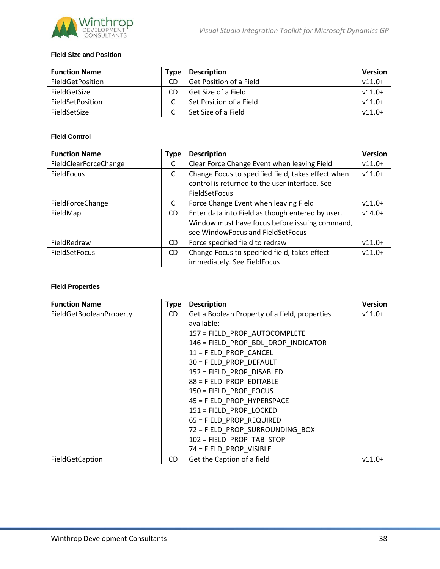

#### **Field Size and Position**

| <b>Function Name</b>    | Type | <b>Description</b>             | <b>Version</b> |
|-------------------------|------|--------------------------------|----------------|
| FieldGetPosition        | CD   | <b>Get Position of a Field</b> | $v11.0+$       |
| FieldGetSize            | CD   | Get Size of a Field            | $v11.0+$       |
| <b>FieldSetPosition</b> |      | Set Position of a Field        | $v11.0+$       |
| FieldSetSize            |      | Set Size of a Field            | $v11.0+$       |

## **Field Control**

| <b>Function Name</b>  | <b>Type</b> | <b>Description</b>                                 | <b>Version</b> |
|-----------------------|-------------|----------------------------------------------------|----------------|
| FieldClearForceChange | C           | Clear Force Change Event when leaving Field        | $v11.0+$       |
| FieldFocus            | C           | Change Focus to specified field, takes effect when | $v11.0+$       |
|                       |             | control is returned to the user interface. See     |                |
|                       |             | FieldSetFocus                                      |                |
| FieldForceChange      | C           | Force Change Event when leaving Field              | $v11.0+$       |
| FieldMap              | CD.         | Enter data into Field as though entered by user.   | $v14.0+$       |
|                       |             | Window must have focus before issuing command,     |                |
|                       |             | see WindowFocus and FieldSetFocus                  |                |
| FieldRedraw           | CD.         | Force specified field to redraw                    | $v11.0+$       |
| <b>FieldSetFocus</b>  | CD.         | Change Focus to specified field, takes effect      | $v11.0+$       |
|                       |             | immediately. See FieldFocus                        |                |

#### **Field Properties**

| <b>Function Name</b>    | <b>Type</b> | <b>Description</b>                            | <b>Version</b> |
|-------------------------|-------------|-----------------------------------------------|----------------|
| FieldGetBooleanProperty | CD.         | Get a Boolean Property of a field, properties | $v11.0+$       |
|                         |             | available:                                    |                |
|                         |             | 157 = FIELD PROP AUTOCOMPLETE                 |                |
|                         |             | 146 = FIELD PROP BDL DROP INDICATOR           |                |
|                         |             | 11 = FIELD PROP CANCEL                        |                |
|                         |             | 30 = FIELD PROP DEFAULT                       |                |
|                         |             | 152 = FIELD PROP DISABLED                     |                |
|                         |             | 88 = FIELD PROP EDITABLE                      |                |
|                         |             | 150 = FIELD PROP FOCUS                        |                |
|                         |             | 45 = FIELD PROP HYPERSPACE                    |                |
|                         |             | 151 = FIELD PROP LOCKED                       |                |
|                         |             | 65 = FIELD PROP REQUIRED                      |                |
|                         |             | 72 = FIELD PROP SURROUNDING BOX               |                |
|                         |             | 102 = FIELD PROP TAB STOP                     |                |
|                         |             | 74 = FIELD PROP VISIBLE                       |                |
| FieldGetCaption         | CD.         | Get the Caption of a field                    | $v11.0+$       |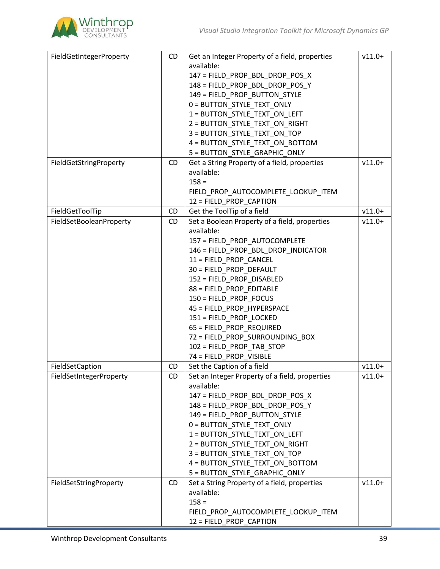

| FieldGetIntegerProperty | CD        | Get an Integer Property of a field, properties               | $v11.0+$ |
|-------------------------|-----------|--------------------------------------------------------------|----------|
|                         |           | available:                                                   |          |
|                         |           | 147 = FIELD PROP BDL DROP POS X                              |          |
|                         |           | 148 = FIELD PROP BDL DROP POS Y                              |          |
|                         |           | 149 = FIELD PROP BUTTON STYLE                                |          |
|                         |           | 0 = BUTTON_STYLE_TEXT_ONLY                                   |          |
|                         |           | 1 = BUTTON_STYLE_TEXT_ON_LEFT                                |          |
|                         |           | 2 = BUTTON_STYLE_TEXT_ON_RIGHT                               |          |
|                         |           | 3 = BUTTON_STYLE_TEXT_ON_TOP                                 |          |
|                         |           | 4 = BUTTON_STYLE_TEXT_ON_BOTTOM                              |          |
|                         |           | 5 = BUTTON_STYLE_GRAPHIC_ONLY                                |          |
| FieldGetStringProperty  | <b>CD</b> | Get a String Property of a field, properties                 | $v11.0+$ |
|                         |           | available:                                                   |          |
|                         |           | $158 =$                                                      |          |
|                         |           | FIELD_PROP_AUTOCOMPLETE_LOOKUP_ITEM                          |          |
|                         |           | 12 = FIELD_PROP_CAPTION                                      |          |
| FieldGetToolTip         | CD        | Get the ToolTip of a field                                   | $v11.0+$ |
| FieldSetBooleanProperty | CD        | Set a Boolean Property of a field, properties<br>available:  | $v11.0+$ |
|                         |           | 157 = FIELD PROP AUTOCOMPLETE                                |          |
|                         |           | 146 = FIELD_PROP_BDL_DROP_INDICATOR                          |          |
|                         |           | 11 = FIELD_PROP_CANCEL                                       |          |
|                         |           | 30 = FIELD PROP DEFAULT                                      |          |
|                         |           | 152 = FIELD PROP DISABLED                                    |          |
|                         |           | 88 = FIELD_PROP_EDITABLE                                     |          |
|                         |           | 150 = FIELD PROP FOCUS                                       |          |
|                         |           | 45 = FIELD_PROP_HYPERSPACE                                   |          |
|                         |           | 151 = FIELD_PROP_LOCKED                                      |          |
|                         |           | 65 = FIELD_PROP_REQUIRED                                     |          |
|                         |           | 72 = FIELD_PROP_SURROUNDING_BOX                              |          |
|                         |           | 102 = FIELD_PROP_TAB_STOP                                    |          |
|                         |           | 74 = FIELD_PROP_VISIBLE                                      |          |
| FieldSetCaption         | CD        | Set the Caption of a field                                   | $v11.0+$ |
| FieldSetIntegerProperty | CD.       | Set an Integer Property of a field, properties<br>available: | $v11.0+$ |
|                         |           | 147 = FIELD_PROP_BDL_DROP_POS_X                              |          |
|                         |           | 148 = FIELD PROP BDL DROP POS Y                              |          |
|                         |           | 149 = FIELD PROP BUTTON STYLE                                |          |
|                         |           | 0 = BUTTON_STYLE_TEXT_ONLY                                   |          |
|                         |           | 1 = BUTTON_STYLE_TEXT_ON_LEFT                                |          |
|                         |           | 2 = BUTTON_STYLE_TEXT_ON_RIGHT                               |          |
|                         |           | 3 = BUTTON STYLE TEXT ON TOP                                 |          |
|                         |           | 4 = BUTTON STYLE TEXT ON BOTTOM                              |          |
|                         |           | 5 = BUTTON_STYLE_GRAPHIC_ONLY                                |          |
| FieldSetStringProperty  | CD        | Set a String Property of a field, properties                 | $v11.0+$ |
|                         |           | available:                                                   |          |
|                         |           | $158 =$                                                      |          |
|                         |           | FIELD_PROP_AUTOCOMPLETE_LOOKUP_ITEM                          |          |
|                         |           | 12 = FIELD_PROP_CAPTION                                      |          |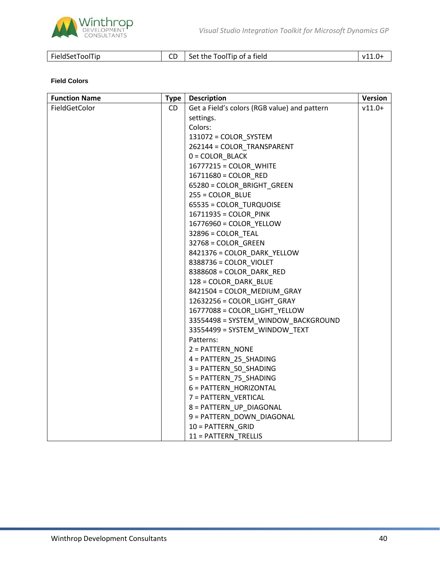

| FieldSetToolTip |  | Set the ToolTip of a field | v11.u |
|-----------------|--|----------------------------|-------|
|-----------------|--|----------------------------|-------|

## **Field Colors**

| <b>Function Name</b> | <b>Type</b> | <b>Description</b>                           | <b>Version</b> |
|----------------------|-------------|----------------------------------------------|----------------|
| FieldGetColor        | CD          | Get a Field's colors (RGB value) and pattern | $v11.0+$       |
|                      |             | settings.                                    |                |
|                      |             | Colors:                                      |                |
|                      |             | 131072 = COLOR SYSTEM                        |                |
|                      |             | 262144 = COLOR_TRANSPARENT                   |                |
|                      |             | $0 = COLOR_BLACK$                            |                |
|                      |             | 16777215 = COLOR_WHITE                       |                |
|                      |             | 16711680 = COLOR_RED                         |                |
|                      |             | 65280 = COLOR_BRIGHT_GREEN                   |                |
|                      |             | $255 = COLOR$ BLUE                           |                |
|                      |             | 65535 = COLOR_TURQUOISE                      |                |
|                      |             | 16711935 = COLOR PINK                        |                |
|                      |             | 16776960 = COLOR_YELLOW                      |                |
|                      |             | $32896 = COLOR$ TEAL                         |                |
|                      |             | 32768 = COLOR_GREEN                          |                |
|                      |             | 8421376 = COLOR_DARK_YELLOW                  |                |
|                      |             | 8388736 = COLOR_VIOLET                       |                |
|                      |             | 8388608 = COLOR_DARK_RED                     |                |
|                      |             | 128 = COLOR_DARK_BLUE                        |                |
|                      |             | 8421504 = COLOR_MEDIUM_GRAY                  |                |
|                      |             | 12632256 = COLOR_LIGHT_GRAY                  |                |
|                      |             | 16777088 = COLOR_LIGHT_YELLOW                |                |
|                      |             | 33554498 = SYSTEM_WINDOW_BACKGROUND          |                |
|                      |             | 33554499 = SYSTEM WINDOW TEXT                |                |
|                      |             | Patterns:                                    |                |
|                      |             | 2 = PATTERN_NONE                             |                |
|                      |             | 4 = PATTERN_25_SHADING                       |                |
|                      |             | 3 = PATTERN_50_SHADING                       |                |
|                      |             | 5 = PATTERN_75_SHADING                       |                |
|                      |             | 6 = PATTERN_HORIZONTAL                       |                |
|                      |             | 7 = PATTERN VERTICAL                         |                |
|                      |             | 8 = PATTERN_UP_DIAGONAL                      |                |
|                      |             | 9 = PATTERN_DOWN_DIAGONAL                    |                |
|                      |             | 10 = PATTERN GRID                            |                |
|                      |             | 11 = PATTERN TRELLIS                         |                |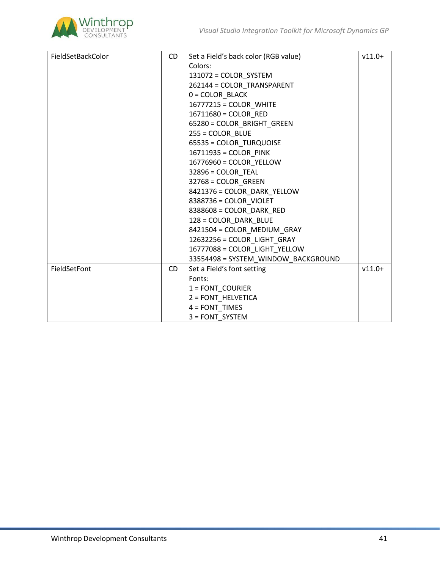

| FieldSetBackColor | CD. | Set a Field's back color (RGB value) | $v11.0+$ |
|-------------------|-----|--------------------------------------|----------|
|                   |     | Colors:                              |          |
|                   |     |                                      |          |
|                   |     | 131072 = COLOR_SYSTEM                |          |
|                   |     | 262144 = COLOR TRANSPARENT           |          |
|                   |     | $0 = COLORBLACK$                     |          |
|                   |     | 16777215 = COLOR_WHITE               |          |
|                   |     | 16711680 = COLOR RED                 |          |
|                   |     | 65280 = COLOR_BRIGHT_GREEN           |          |
|                   |     | $255 = COLOR$ BLUE                   |          |
|                   |     | 65535 = COLOR_TURQUOISE              |          |
|                   |     | 16711935 = COLOR PINK                |          |
|                   |     | 16776960 = COLOR_YELLOW              |          |
|                   |     | $32896 = COLOR$ TEAL                 |          |
|                   |     | 32768 = COLOR GREEN                  |          |
|                   |     | 8421376 = COLOR_DARK_YELLOW          |          |
|                   |     | 8388736 = COLOR VIOLET               |          |
|                   |     | 8388608 = COLOR DARK RED             |          |
|                   |     | 128 = COLOR_DARK_BLUE                |          |
|                   |     | 8421504 = COLOR MEDIUM GRAY          |          |
|                   |     | 12632256 = COLOR LIGHT GRAY          |          |
|                   |     | 16777088 = COLOR_LIGHT_YELLOW        |          |
|                   |     | 33554498 = SYSTEM WINDOW BACKGROUND  |          |
| FieldSetFont      | CD. | Set a Field's font setting           | $v11.0+$ |
|                   |     | Fonts:                               |          |
|                   |     | $1 =$ FONT COURIER                   |          |
|                   |     | 2 = FONT_HELVETICA                   |          |
|                   |     | $4 = FONT$ TIMES                     |          |
|                   |     | 3 = FONT SYSTEM                      |          |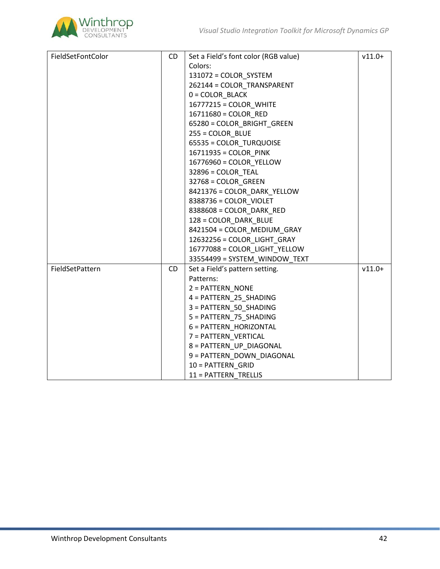

| FieldSetFontColor | CD  | Set a Field's font color (RGB value) | $v11.0+$ |
|-------------------|-----|--------------------------------------|----------|
|                   |     | Colors:                              |          |
|                   |     | 131072 = COLOR_SYSTEM                |          |
|                   |     | 262144 = COLOR TRANSPARENT           |          |
|                   |     | $0 = COLORBLACK$                     |          |
|                   |     | 16777215 = COLOR_WHITE               |          |
|                   |     | 16711680 = COLOR RED                 |          |
|                   |     | 65280 = COLOR_BRIGHT_GREEN           |          |
|                   |     | $255 = COLOR$ BLUE                   |          |
|                   |     | 65535 = COLOR_TURQUOISE              |          |
|                   |     | 16711935 = COLOR PINK                |          |
|                   |     | 16776960 = COLOR_YELLOW              |          |
|                   |     | $32896 = COLOR$ TEAL                 |          |
|                   |     | 32768 = COLOR GREEN                  |          |
|                   |     | 8421376 = COLOR_DARK_YELLOW          |          |
|                   |     | 8388736 = COLOR_VIOLET               |          |
|                   |     | 8388608 = COLOR_DARK_RED             |          |
|                   |     | 128 = COLOR_DARK_BLUE                |          |
|                   |     | 8421504 = COLOR_MEDIUM_GRAY          |          |
|                   |     | 12632256 = COLOR_LIGHT_GRAY          |          |
|                   |     | 16777088 = COLOR_LIGHT_YELLOW        |          |
|                   |     | 33554499 = SYSTEM WINDOW TEXT        |          |
| FieldSetPattern   | CD. | Set a Field's pattern setting.       | $v11.0+$ |
|                   |     | Patterns:                            |          |
|                   |     | 2 = PATTERN_NONE                     |          |
|                   |     | 4 = PATTERN_25_SHADING               |          |
|                   |     | 3 = PATTERN 50 SHADING               |          |
|                   |     | 5 = PATTERN_75_SHADING               |          |
|                   |     | 6 = PATTERN_HORIZONTAL               |          |
|                   |     | 7 = PATTERN VERTICAL                 |          |
|                   |     | 8 = PATTERN_UP_DIAGONAL              |          |
|                   |     | 9 = PATTERN_DOWN_DIAGONAL            |          |
|                   |     | 10 = PATTERN GRID                    |          |
|                   |     | 11 = PATTERN TRELLIS                 |          |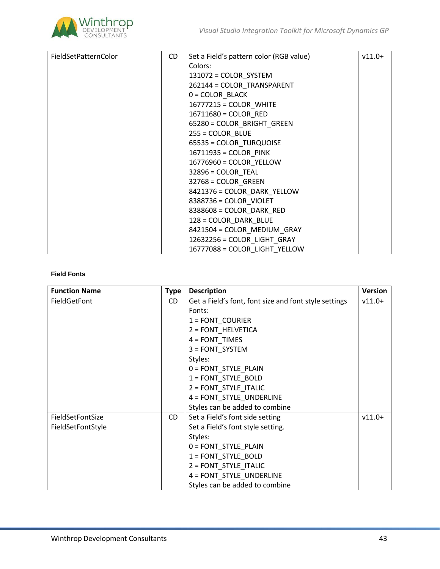

| FieldSetPatternColor | CD. | Set a Field's pattern color (RGB value) | $v11.0+$ |
|----------------------|-----|-----------------------------------------|----------|
|                      |     | Colors:                                 |          |
|                      |     | 131072 = COLOR_SYSTEM                   |          |
|                      |     | 262144 = COLOR TRANSPARENT              |          |
|                      |     | $0 = COLOR$ BLACK                       |          |
|                      |     | 16777215 = COLOR WHITE                  |          |
|                      |     | 16711680 = COLOR RED                    |          |
|                      |     | 65280 = COLOR_BRIGHT_GREEN              |          |
|                      |     | $255 = COLOR$ _BLUE                     |          |
|                      |     | 65535 = COLOR_TURQUOISE                 |          |
|                      |     | 16711935 = COLOR_PINK                   |          |
|                      |     | 16776960 = COLOR_YELLOW                 |          |
|                      |     | $32896 = COLOR$ TEAL                    |          |
|                      |     | 32768 = COLOR GREEN                     |          |
|                      |     | 8421376 = COLOR_DARK_YELLOW             |          |
|                      |     | 8388736 = COLOR_VIOLET                  |          |
|                      |     | 8388608 = COLOR_DARK_RED                |          |
|                      |     | 128 = COLOR_DARK_BLUE                   |          |
|                      |     | 8421504 = COLOR MEDIUM GRAY             |          |
|                      |     | 12632256 = COLOR_LIGHT_GRAY             |          |
|                      |     | 16777088 = COLOR LIGHT YELLOW           |          |

## **Field Fonts**

| <b>Function Name</b> | <b>Type</b> | <b>Description</b>                                    | <b>Version</b> |
|----------------------|-------------|-------------------------------------------------------|----------------|
| FieldGetFont         | CD.         | Get a Field's font, font size and font style settings | $v11.0+$       |
|                      |             | Fonts:                                                |                |
|                      |             | $1 =$ FONT COURIER                                    |                |
|                      |             | 2 = FONT_HELVETICA                                    |                |
|                      |             | $4 = FONT$ TIMES                                      |                |
|                      |             | 3 = FONT_SYSTEM                                       |                |
|                      |             | Styles:                                               |                |
|                      |             | 0 = FONT_STYLE_PLAIN                                  |                |
|                      |             | 1 = FONT_STYLE_BOLD                                   |                |
|                      |             | 2 = FONT STYLE ITALIC                                 |                |
|                      |             | 4 = FONT_STYLE_UNDERLINE                              |                |
|                      |             | Styles can be added to combine                        |                |
| FieldSetFontSize     | CD.         | Set a Field's font side setting                       | $v11.0+$       |
| FieldSetFontStyle    |             | Set a Field's font style setting.                     |                |
|                      |             | Styles:                                               |                |
|                      |             | 0 = FONT_STYLE_PLAIN                                  |                |
|                      |             | 1 = FONT_STYLE_BOLD                                   |                |
|                      |             | 2 = FONT STYLE ITALIC                                 |                |
|                      |             | 4 = FONT_STYLE_UNDERLINE                              |                |
|                      |             | Styles can be added to combine                        |                |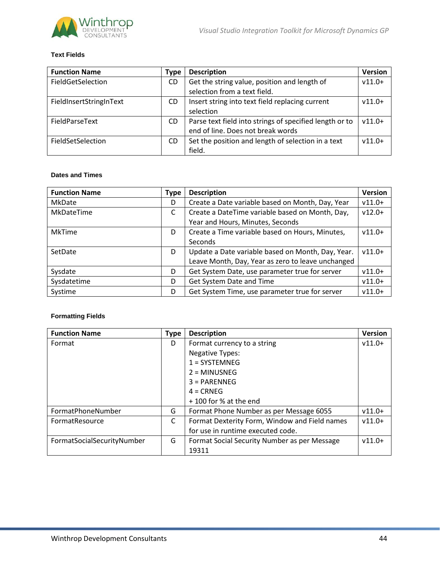

## **Text Fields**

| <b>Function Name</b>    | <b>Type</b> | <b>Description</b>                                                                           | <b>Version</b> |
|-------------------------|-------------|----------------------------------------------------------------------------------------------|----------------|
| FieldGetSelection       | CD.         | Get the string value, position and length of<br>selection from a text field.                 | $v11.0+$       |
| FieldInsertStringInText | CD.         | Insert string into text field replacing current<br>selection                                 | $v11.0+$       |
| FieldParseText          | CD.         | Parse text field into strings of specified length or to<br>end of line. Does not break words | $v11.0+$       |
| FieldSetSelection       | CD.         | Set the position and length of selection in a text<br>field.                                 | $v11.0+$       |

## **Dates and Times**

| <b>Function Name</b> | <b>Type</b> | <b>Description</b>                                | <b>Version</b> |
|----------------------|-------------|---------------------------------------------------|----------------|
| MkDate               | D           | Create a Date variable based on Month, Day, Year  | $v11.0+$       |
| MkDateTime           | C           | Create a DateTime variable based on Month, Day,   | $v12.0+$       |
|                      |             | Year and Hours, Minutes, Seconds                  |                |
| <b>MkTime</b>        | D           | Create a Time variable based on Hours, Minutes,   | $v11.0+$       |
|                      |             | Seconds                                           |                |
| SetDate              | D           | Update a Date variable based on Month, Day, Year. | $v11.0+$       |
|                      |             | Leave Month, Day, Year as zero to leave unchanged |                |
| Sysdate              | D           | Get System Date, use parameter true for server    | $v11.0+$       |
| Sysdatetime          | D           | Get System Date and Time                          | $v11.0+$       |
| Systime              | D           | Get System Time, use parameter true for server    | $v11.0+$       |

## **Formatting Fields**

| <b>Function Name</b>       | <b>Type</b> | <b>Description</b>                            | <b>Version</b> |
|----------------------------|-------------|-----------------------------------------------|----------------|
| Format                     | D           | Format currency to a string                   | $v11.0+$       |
|                            |             | <b>Negative Types:</b>                        |                |
|                            |             | $1 = SYSTEMNEG$                               |                |
|                            |             | $2 = MINUSNEG$                                |                |
|                            |             | $3 = PARENTFG$                                |                |
|                            |             | $4 = C RNEG$                                  |                |
|                            |             | $+100$ for % at the end                       |                |
| FormatPhoneNumber          | G           | Format Phone Number as per Message 6055       | $v11.0+$       |
| FormatResource             | C           | Format Dexterity Form, Window and Field names | $v11.0+$       |
|                            |             | for use in runtime executed code.             |                |
| FormatSocialSecurityNumber | G           | Format Social Security Number as per Message  | $v11.0+$       |
|                            |             | 19311                                         |                |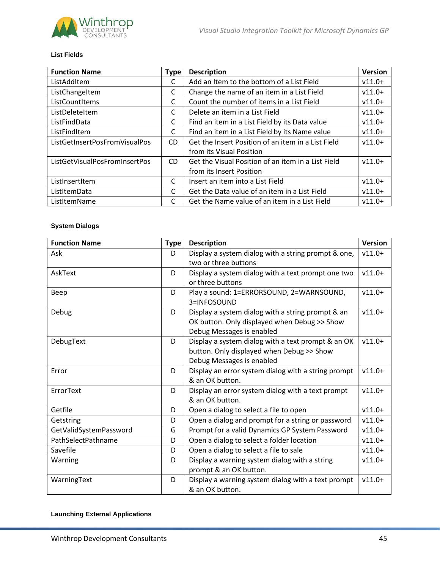

## **List Fields**

| <b>Function Name</b>          | <b>Type</b>    | <b>Description</b>                                 | <b>Version</b> |
|-------------------------------|----------------|----------------------------------------------------|----------------|
| ListAddItem                   | C              | Add an Item to the bottom of a List Field          | $v11.0+$       |
| ListChangeItem                | C              | Change the name of an item in a List Field         | $v11.0+$       |
| ListCountItems                | C              | Count the number of items in a List Field          | $v11.0+$       |
| ListDeleteItem                | C              | Delete an item in a List Field                     | $v11.0+$       |
| ListFindData                  | C              | Find an item in a List Field by its Data value     | $v11.0+$       |
| ListFindItem                  | C              | Find an item in a List Field by its Name value     | $v11.0+$       |
| ListGetInsertPosFromVisualPos | C <sub>D</sub> | Get the Insert Position of an item in a List Field | $v11.0+$       |
|                               |                | from its Visual Position                           |                |
| ListGetVisualPosFromInsertPos | CD.            | Get the Visual Position of an item in a List Field | $v11.0+$       |
|                               |                | from its Insert Position                           |                |
| ListInsertItem                | C              | Insert an item into a List Field                   | $v11.0+$       |
| ListItemData                  | C              | Get the Data value of an item in a List Field      | $v11.0+$       |
| ListItemName                  | C              | Get the Name value of an item in a List Field      | $v11.0+$       |

## **System Dialogs**

| <b>Function Name</b>   | <b>Type</b> | <b>Description</b>                                  | <b>Version</b> |
|------------------------|-------------|-----------------------------------------------------|----------------|
| Ask                    | D           | Display a system dialog with a string prompt & one, | $v11.0+$       |
|                        |             | two or three buttons                                |                |
| AskText                | D           | Display a system dialog with a text prompt one two  | $v11.0+$       |
|                        |             | or three buttons                                    |                |
| Beep                   | D           | Play a sound: 1=ERRORSOUND, 2=WARNSOUND,            | $v11.0+$       |
|                        |             | 3=INFOSOUND                                         |                |
| Debug                  | D           | Display a system dialog with a string prompt & an   | $v11.0+$       |
|                        |             | OK button. Only displayed when Debug >> Show        |                |
|                        |             | Debug Messages is enabled                           |                |
| DebugText              | D           | Display a system dialog with a text prompt & an OK  | $v11.0+$       |
|                        |             | button. Only displayed when Debug >> Show           |                |
|                        |             | Debug Messages is enabled                           |                |
| Error                  | D           | Display an error system dialog with a string prompt | $v11.0+$       |
|                        |             | & an OK button.                                     |                |
| ErrorText              | D           | Display an error system dialog with a text prompt   | $v11.0+$       |
|                        |             | & an OK button.                                     |                |
| Getfile                | D           | Open a dialog to select a file to open              | $v11.0+$       |
| Getstring              | D           | Open a dialog and prompt for a string or password   | $v11.0+$       |
| GetValidSystemPassword | G           | Prompt for a valid Dynamics GP System Password      | $v11.0+$       |
| PathSelectPathname     | D           | Open a dialog to select a folder location           | $v11.0+$       |
| Savefile               | D           | Open a dialog to select a file to sale              | $v11.0+$       |
| Warning                | D           | Display a warning system dialog with a string       | $v11.0+$       |
|                        |             | prompt & an OK button.                              |                |
| WarningText            | D           | Display a warning system dialog with a text prompt  | $v11.0+$       |
|                        |             | & an OK button.                                     |                |

## **Launching External Applications**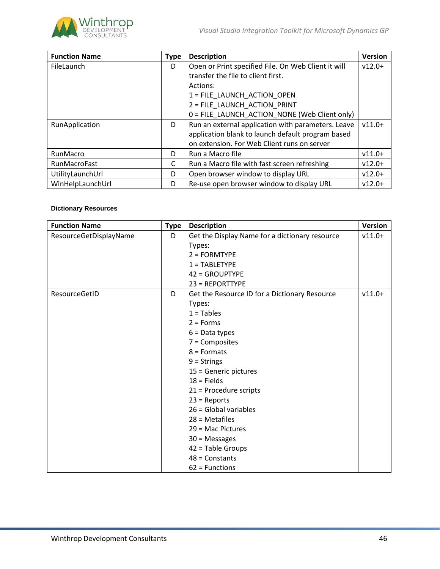

| <b>Function Name</b> | <b>Type</b> | <b>Description</b>                                  | <b>Version</b> |
|----------------------|-------------|-----------------------------------------------------|----------------|
| FileLaunch           | D           | Open or Print specified File. On Web Client it will | $v12.0+$       |
|                      |             | transfer the file to client first.                  |                |
|                      |             | Actions:                                            |                |
|                      |             | 1 = FILE LAUNCH ACTION OPEN                         |                |
|                      |             | 2 = FILE LAUNCH ACTION PRINT                        |                |
|                      |             | 0 = FILE LAUNCH ACTION NONE (Web Client only)       |                |
| RunApplication       | D           | Run an external application with parameters. Leave  | $v11.0+$       |
|                      |             | application blank to launch default program based   |                |
|                      |             | on extension. For Web Client runs on server         |                |
| RunMacro             | D           | Run a Macro file                                    | $v11.0+$       |
| <b>RunMacroFast</b>  | C           | Run a Macro file with fast screen refreshing        | $v12.0+$       |
| UtilityLaunchUrl     | D           | Open browser window to display URL                  | $v12.0+$       |
| WinHelpLaunchUrl     | D           | Re-use open browser window to display URL           | $v12.0+$       |

# **Dictionary Resources**

| <b>Function Name</b>   | <b>Type</b> | <b>Description</b>                             | Version  |
|------------------------|-------------|------------------------------------------------|----------|
| ResourceGetDisplayName | D           | Get the Display Name for a dictionary resource | $v11.0+$ |
|                        |             | Types:                                         |          |
|                        |             | $2 = FORMTYPE$                                 |          |
|                        |             | $1 = TABLETYPE$                                |          |
|                        |             | 42 = GROUPTYPE                                 |          |
|                        |             | 23 = REPORTTYPE                                |          |
| ResourceGetID          | D           | Get the Resource ID for a Dictionary Resource  | $v11.0+$ |
|                        |             | Types:                                         |          |
|                        |             | $1 =$ Tables                                   |          |
|                        |             | $2 =$ Forms                                    |          |
|                        |             | $6 = Data types$                               |          |
|                        |             | $7 =$ Composites                               |          |
|                        |             | $8 =$ Formats                                  |          |
|                        |             | $9 =$ Strings                                  |          |
|                        |             | 15 = Generic pictures                          |          |
|                        |             | $18$ = Fields                                  |          |
|                        |             | $21$ = Procedure scripts                       |          |
|                        |             | $23$ = Reports                                 |          |
|                        |             | $26$ = Global variables                        |          |
|                        |             | $28$ = Metafiles                               |          |
|                        |             | 29 = Mac Pictures                              |          |
|                        |             | $30 =$ Messages                                |          |
|                        |             | $42$ = Table Groups                            |          |
|                        |             | $48 =$ Constants                               |          |
|                        |             | $62$ = Functions                               |          |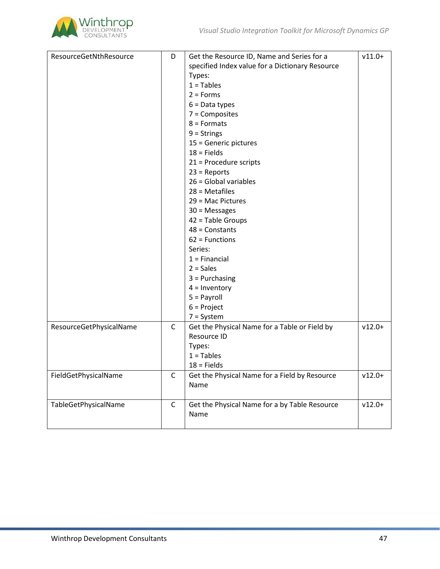

| ResourceGetNthResource  | D            | Get the Resource ID, Name and Series for a      | $v11.0+$ |
|-------------------------|--------------|-------------------------------------------------|----------|
|                         |              | specified Index value for a Dictionary Resource |          |
|                         |              | Types:                                          |          |
|                         |              | $1 = Tables$                                    |          |
|                         |              | $2 =$ Forms                                     |          |
|                         |              | $6 = Data types$                                |          |
|                         |              | $7 =$ Composites                                |          |
|                         |              | $8 =$ Formats                                   |          |
|                         |              | $9 =$ Strings                                   |          |
|                         |              |                                                 |          |
|                         |              | 15 = Generic pictures<br>$18 =$ Fields          |          |
|                         |              |                                                 |          |
|                         |              | 21 = Procedure scripts                          |          |
|                         |              | $23$ = Reports                                  |          |
|                         |              | $26$ = Global variables                         |          |
|                         |              | $28 = Metafiles$                                |          |
|                         |              | 29 = Mac Pictures                               |          |
|                         |              | $30 =$ Messages                                 |          |
|                         |              | $42$ = Table Groups                             |          |
|                         |              | $48 =$ Constants                                |          |
|                         |              | $62$ = Functions                                |          |
|                         |              | Series:                                         |          |
|                         |              | $1 =$ Financial                                 |          |
|                         |              | $2 = Sales$                                     |          |
|                         |              | $3 =$ Purchasing                                |          |
|                         |              | $4 =$ Inventory                                 |          |
|                         |              | $5 = Payroll$                                   |          |
|                         |              | $6$ = Project                                   |          |
|                         |              | $7 = System$                                    |          |
| ResourceGetPhysicalName | C            | Get the Physical Name for a Table or Field by   | $v12.0+$ |
|                         |              | Resource ID                                     |          |
|                         |              | Types:                                          |          |
|                         |              | $1 =$ Tables                                    |          |
|                         |              | $18$ = Fields                                   |          |
| FieldGetPhysicalName    | C            | Get the Physical Name for a Field by Resource   | $v12.0+$ |
|                         |              | Name                                            |          |
|                         |              |                                                 |          |
| TableGetPhysicalName    | $\mathsf{C}$ | Get the Physical Name for a by Table Resource   | $v12.0+$ |
|                         |              | Name                                            |          |
|                         |              |                                                 |          |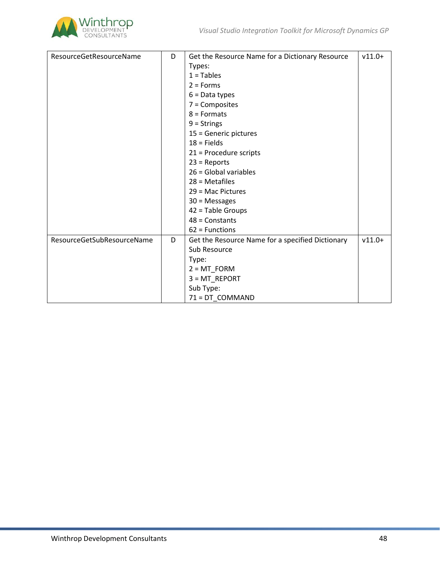

| ResourceGetResourceName    | D | Get the Resource Name for a Dictionary Resource  | $v11.0+$ |
|----------------------------|---|--------------------------------------------------|----------|
|                            |   | Types:                                           |          |
|                            |   | $1 =$ Tables                                     |          |
|                            |   | $2 =$ Forms                                      |          |
|                            |   | $6 = Data types$                                 |          |
|                            |   | $7 =$ Composites                                 |          |
|                            |   | $8 =$ Formats                                    |          |
|                            |   | $9 =$ Strings                                    |          |
|                            |   | 15 = Generic pictures                            |          |
|                            |   | $18 =$ Fields                                    |          |
|                            |   | 21 = Procedure scripts                           |          |
|                            |   | $23$ = Reports                                   |          |
|                            |   | $26$ = Global variables                          |          |
|                            |   | $28 = Metafiles$                                 |          |
|                            |   | $29$ = Mac Pictures                              |          |
|                            |   | $30 =$ Messages                                  |          |
|                            |   | $42$ = Table Groups                              |          |
|                            |   | $48 =$ Constants                                 |          |
|                            |   | $62$ = Functions                                 |          |
| ResourceGetSubResourceName | D | Get the Resource Name for a specified Dictionary | $v11.0+$ |
|                            |   | Sub Resource                                     |          |
|                            |   | Type:                                            |          |
|                            |   | $2 = MT_FORM$                                    |          |
|                            |   | $3 = MT$ REPORT                                  |          |
|                            |   | Sub Type:                                        |          |
|                            |   | 71 = DT COMMAND                                  |          |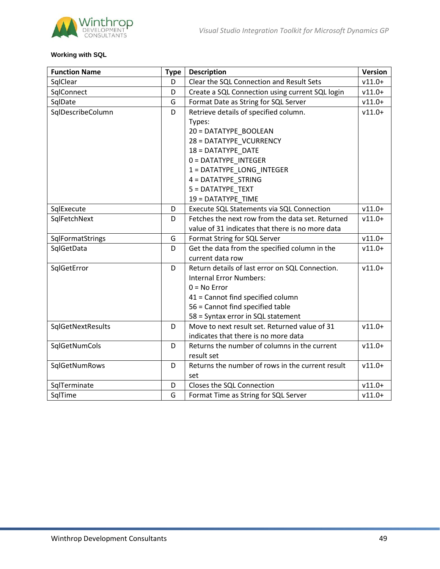

# **Working with SQL**

| <b>Function Name</b> | <b>Type</b> | <b>Description</b>                               | <b>Version</b> |
|----------------------|-------------|--------------------------------------------------|----------------|
| SqlClear             | D           | Clear the SQL Connection and Result Sets         | $v11.0+$       |
| SqlConnect           | D           | Create a SQL Connection using current SQL login  | $v11.0+$       |
| SqlDate              | G           | Format Date as String for SQL Server             | $v11.0+$       |
| SqlDescribeColumn    | D           | Retrieve details of specified column.            | $v11.0+$       |
|                      |             | Types:                                           |                |
|                      |             | 20 = DATATYPE_BOOLEAN                            |                |
|                      |             | 28 = DATATYPE VCURRENCY                          |                |
|                      |             | 18 = DATATYPE DATE                               |                |
|                      |             | 0 = DATATYPE INTEGER                             |                |
|                      |             | 1 = DATATYPE LONG INTEGER                        |                |
|                      |             | 4 = DATATYPE STRING                              |                |
|                      |             | 5 = DATATYPE TEXT                                |                |
|                      |             | 19 = DATATYPE TIME                               |                |
| SqlExecute           | D           | Execute SQL Statements via SQL Connection        | $v11.0+$       |
| SqlFetchNext         | D           | Fetches the next row from the data set. Returned | $v11.0+$       |
|                      |             | value of 31 indicates that there is no more data |                |
| SqlFormatStrings     | G           | Format String for SQL Server                     | $v11.0+$       |
| SqlGetData           | D           | Get the data from the specified column in the    | $v11.0+$       |
|                      |             | current data row                                 |                |
| SqlGetError          | D           | Return details of last error on SQL Connection.  | $v11.0+$       |
|                      |             | <b>Internal Error Numbers:</b>                   |                |
|                      |             | $0 = No Error$                                   |                |
|                      |             | 41 = Cannot find specified column                |                |
|                      |             | 56 = Cannot find specified table                 |                |
|                      |             | 58 = Syntax error in SQL statement               |                |
| SqlGetNextResults    | D           | Move to next result set. Returned value of 31    | $v11.0+$       |
|                      |             | indicates that there is no more data             |                |
| SqlGetNumCols        | D           | Returns the number of columns in the current     | $v11.0+$       |
|                      |             | result set                                       |                |
| SqlGetNumRows        | D           | Returns the number of rows in the current result | $v11.0+$       |
|                      |             | set                                              |                |
| SqlTerminate         | D           | Closes the SQL Connection                        | $v11.0+$       |
| SqlTime              | G           | Format Time as String for SQL Server             | $v11.0+$       |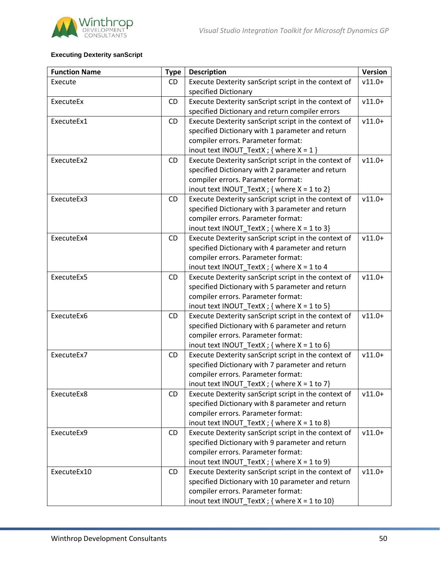

# **Executing Dexterity sanScript**

| <b>Function Name</b> | <b>Type</b> | <b>Description</b>                                   | <b>Version</b> |
|----------------------|-------------|------------------------------------------------------|----------------|
| Execute              | <b>CD</b>   | Execute Dexterity sanScript script in the context of | $v11.0+$       |
|                      |             | specified Dictionary                                 |                |
| ExecuteEx            | <b>CD</b>   | Execute Dexterity sanScript script in the context of | $v11.0+$       |
|                      |             | specified Dictionary and return compiler errors      |                |
| ExecuteEx1           | CD          | Execute Dexterity sanScript script in the context of | $v11.0+$       |
|                      |             | specified Dictionary with 1 parameter and return     |                |
|                      |             | compiler errors. Parameter format:                   |                |
|                      |             | inout text INOUT_TextX ; { where $X = 1$ }           |                |
| ExecuteEx2           | CD          | Execute Dexterity sanScript script in the context of | $v11.0+$       |
|                      |             | specified Dictionary with 2 parameter and return     |                |
|                      |             | compiler errors. Parameter format:                   |                |
|                      |             | inout text INOUT_TextX ; { where $X = 1$ to 2}       |                |
| ExecuteEx3           | <b>CD</b>   | Execute Dexterity sanScript script in the context of | $v11.0+$       |
|                      |             | specified Dictionary with 3 parameter and return     |                |
|                      |             | compiler errors. Parameter format:                   |                |
|                      |             | inout text INOUT_TextX ; { where $X = 1$ to 3}       |                |
| ExecuteEx4           | CD          | Execute Dexterity sanScript script in the context of | $v11.0+$       |
|                      |             | specified Dictionary with 4 parameter and return     |                |
|                      |             | compiler errors. Parameter format:                   |                |
|                      |             | inout text INOUT_TextX ; { where $X = 1$ to 4        |                |
| ExecuteEx5           | CD          | Execute Dexterity sanScript script in the context of | $v11.0+$       |
|                      |             | specified Dictionary with 5 parameter and return     |                |
|                      |             | compiler errors. Parameter format:                   |                |
|                      |             | inout text INOUT_TextX ; { where $X = 1$ to 5}       |                |
| ExecuteEx6           | CD          | Execute Dexterity sanScript script in the context of | $v11.0+$       |
|                      |             | specified Dictionary with 6 parameter and return     |                |
|                      |             | compiler errors. Parameter format:                   |                |
|                      |             | inout text INOUT_TextX ; { where $X = 1$ to 6}       |                |
| ExecuteEx7           | CD          | Execute Dexterity sanScript script in the context of | $v11.0+$       |
|                      |             | specified Dictionary with 7 parameter and return     |                |
|                      |             | compiler errors. Parameter format:                   |                |
|                      |             | inout text INOUT_TextX ; { where $X = 1$ to 7}       |                |
| ExecuteEx8           | <b>CD</b>   | Execute Dexterity sanScript script in the context of | $v11.0+$       |
|                      |             | specified Dictionary with 8 parameter and return     |                |
|                      |             | compiler errors. Parameter format:                   |                |
|                      |             | inout text INOUT_TextX ; { where $X = 1$ to 8}       |                |
| ExecuteEx9           | CD          | Execute Dexterity sanScript script in the context of | $v11.0+$       |
|                      |             | specified Dictionary with 9 parameter and return     |                |
|                      |             | compiler errors. Parameter format:                   |                |
|                      |             | inout text INOUT_TextX ; { where $X = 1$ to 9}       |                |
| ExecuteEx10          | CD          | Execute Dexterity sanScript script in the context of | $v11.0+$       |
|                      |             | specified Dictionary with 10 parameter and return    |                |
|                      |             | compiler errors. Parameter format:                   |                |
|                      |             | inout text INOUT_TextX ; { where $X = 1$ to 10}      |                |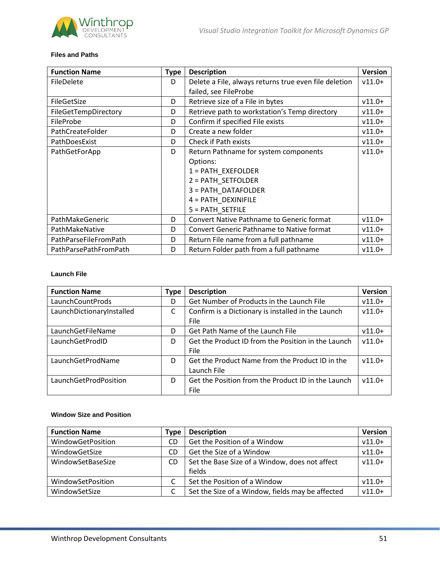

#### **Files and Paths**

| <b>Function Name</b>  | <b>Type</b> | <b>Description</b>                                    | <b>Version</b> |
|-----------------------|-------------|-------------------------------------------------------|----------------|
| FileDelete            | D           | Delete a File, always returns true even file deletion | $v11.0+$       |
|                       |             | failed, see FileProbe                                 |                |
| FileGetSize           | D           | Retrieve size of a File in bytes                      | $v11.0+$       |
| FileGetTempDirectory  | D           | Retrieve path to workstation's Temp directory         | $v11.0+$       |
| FileProbe             | D           | Confirm if specified File exists                      | $v11.0+$       |
| PathCreateFolder      | D           | Create a new folder                                   | $v11.0+$       |
| PathDoesExist         | D           | Check if Path exists                                  | $v11.0+$       |
| PathGetForApp         | D           | Return Pathname for system components                 | $v11.0+$       |
|                       |             | Options:                                              |                |
|                       |             | 1 = PATH_EXEFOLDER                                    |                |
|                       |             | 2 = PATH_SETFOLDER                                    |                |
|                       |             | 3 = PATH DATAFOLDER                                   |                |
|                       |             | 4 = PATH DEXINIFILE                                   |                |
|                       |             | 5 = PATH SETFILE                                      |                |
| PathMakeGeneric       | D           | <b>Convert Native Pathname to Generic format</b>      | $v11.0+$       |
| PathMakeNative        | D           | <b>Convert Generic Pathname to Native format</b>      | $v11.0+$       |
| PathParseFileFromPath | D           | Return File name from a full pathname                 | $v11.0+$       |
| PathParsePathFromPath | D           | Return Folder path from a full pathname               | $v11.0+$       |

## **Launch File**

| <b>Function Name</b>      | <b>Type</b> | <b>Description</b>                                                | Version  |
|---------------------------|-------------|-------------------------------------------------------------------|----------|
| LaunchCountProds          | D           | Get Number of Products in the Launch File                         | $v11.0+$ |
| LaunchDictionaryInstalled | C           | Confirm is a Dictionary is installed in the Launch<br><b>File</b> | $v11.0+$ |
| LaunchGetFileName         | D           | Get Path Name of the Launch File                                  | $v11.0+$ |
| LaunchGetProdID           | D           | Get the Product ID from the Position in the Launch<br>File        | $v11.0+$ |
| LaunchGetProdName         | D           | Get the Product Name from the Product ID in the<br>Launch File    | $v11.0+$ |
| LaunchGetProdPosition     | D           | Get the Position from the Product ID in the Launch<br>File        | $v11.0+$ |

#### **Window Size and Position**

| <b>Function Name</b> | Type | <b>Description</b>                               | <b>Version</b> |
|----------------------|------|--------------------------------------------------|----------------|
| WindowGetPosition    | CD   | Get the Position of a Window                     | $v11.0+$       |
| WindowGetSize        | CD   | Get the Size of a Window                         | $v11.0+$       |
| WindowSetBaseSize    | CD.  | Set the Base Size of a Window, does not affect   | $v11.0+$       |
|                      |      | fields                                           |                |
| WindowSetPosition    |      | Set the Position of a Window                     | $v11.0+$       |
| WindowSetSize        |      | Set the Size of a Window, fields may be affected | $v11.0+$       |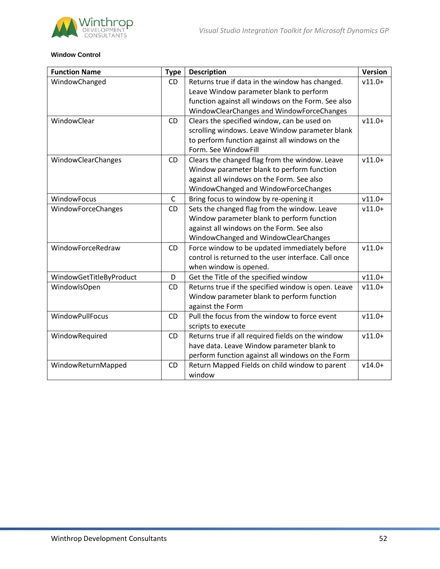



## **Window Control**

| <b>Function Name</b>    | <b>Type</b>  | <b>Description</b>                                   | <b>Version</b> |
|-------------------------|--------------|------------------------------------------------------|----------------|
| WindowChanged           | CD           | Returns true if data in the window has changed.      | $v11.0+$       |
|                         |              | Leave Window parameter blank to perform              |                |
|                         |              | function against all windows on the Form. See also   |                |
|                         |              | WindowClearChanges and WindowForceChanges            |                |
| WindowClear             | <b>CD</b>    | Clears the specified window, can be used on          | $v11.0+$       |
|                         |              | scrolling windows. Leave Window parameter blank      |                |
|                         |              | to perform function against all windows on the       |                |
|                         |              | Form. See WindowFill                                 |                |
| WindowClearChanges      | <b>CD</b>    | Clears the changed flag from the window. Leave       | $v11.0+$       |
|                         |              | Window parameter blank to perform function           |                |
|                         |              | against all windows on the Form. See also            |                |
|                         |              | WindowChanged and WindowForceChanges                 |                |
| WindowFocus             | $\mathsf{C}$ | Bring focus to window by re-opening it               | $v11.0+$       |
| WindowForceChanges      | CD           | Sets the changed flag from the window. Leave         | $v11.0+$       |
|                         |              | Window parameter blank to perform function           |                |
|                         |              | against all windows on the Form. See also            |                |
|                         |              | WindowChanged and WindowClearChanges                 |                |
| WindowForceRedraw       | CD           | Force window to be updated immediately before        | $v11.0+$       |
|                         |              | control is returned to the user interface. Call once |                |
|                         |              | when window is opened.                               |                |
| WindowGetTitleByProduct | D            | Get the Title of the specified window                | $v11.0+$       |
| WindowlsOpen            | <b>CD</b>    | Returns true if the specified window is open. Leave  | $v11.0+$       |
|                         |              | Window parameter blank to perform function           |                |
|                         |              | against the Form                                     |                |
| <b>WindowPullFocus</b>  | <b>CD</b>    | Pull the focus from the window to force event        | $v11.0+$       |
|                         |              | scripts to execute                                   |                |
| WindowRequired          | <b>CD</b>    | Returns true if all required fields on the window    | $v11.0+$       |
|                         |              | have data. Leave Window parameter blank to           |                |
|                         |              | perform function against all windows on the Form     |                |
| WindowReturnMapped      | <b>CD</b>    | Return Mapped Fields on child window to parent       | $v14.0+$       |
|                         |              | window                                               |                |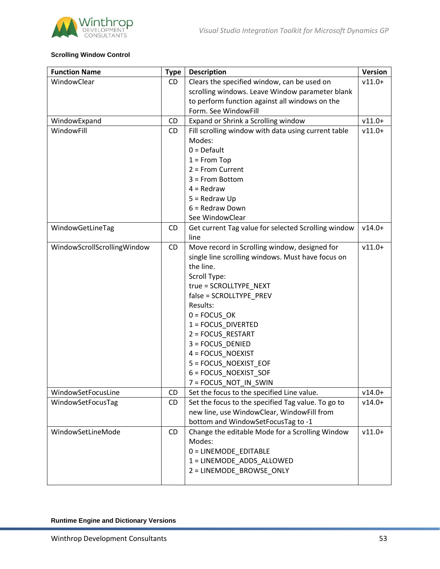

# **Scrolling Window Control**

| <b>Function Name</b>        | <b>Type</b> | <b>Description</b>                                  | <b>Version</b> |
|-----------------------------|-------------|-----------------------------------------------------|----------------|
| WindowClear                 | CD          | Clears the specified window, can be used on         | $v11.0+$       |
|                             |             | scrolling windows. Leave Window parameter blank     |                |
|                             |             | to perform function against all windows on the      |                |
|                             |             | Form. See WindowFill                                |                |
| WindowExpand                | CD          | Expand or Shrink a Scrolling window                 | $v11.0+$       |
| WindowFill                  | <b>CD</b>   | Fill scrolling window with data using current table | $v11.0+$       |
|                             |             | Modes:                                              |                |
|                             |             | $0 = Default$                                       |                |
|                             |             | $1 =$ From Top                                      |                |
|                             |             | $2 =$ From Current                                  |                |
|                             |             | 3 = From Bottom                                     |                |
|                             |             | $4 = Redraw$                                        |                |
|                             |             | $5 = Redraw Up$                                     |                |
|                             |             | 6 = Redraw Down                                     |                |
|                             |             | See WindowClear                                     |                |
| WindowGetLineTag            | <b>CD</b>   | Get current Tag value for selected Scrolling window | $v14.0+$       |
|                             |             | line                                                |                |
| WindowScrollScrollingWindow | CD          | Move record in Scrolling window, designed for       | $v11.0+$       |
|                             |             | single line scrolling windows. Must have focus on   |                |
|                             |             | the line.                                           |                |
|                             |             | Scroll Type:                                        |                |
|                             |             | true = SCROLLTYPE_NEXT                              |                |
|                             |             | false = SCROLLTYPE_PREV                             |                |
|                             |             | Results:                                            |                |
|                             |             | $0 = FOCUS$ <sub>_OK</sub>                          |                |
|                             |             | 1 = FOCUS_DIVERTED                                  |                |
|                             |             | 2 = FOCUS_RESTART                                   |                |
|                             |             | 3 = FOCUS_DENIED                                    |                |
|                             |             | 4 = FOCUS_NOEXIST                                   |                |
|                             |             | 5 = FOCUS_NOEXIST_EOF                               |                |
|                             |             | 6 = FOCUS_NOEXIST_SOF                               |                |
|                             |             | 7 = FOCUS_NOT_IN_SWIN                               |                |
| WindowSetFocusLine          | CD          | Set the focus to the specified Line value.          | $v14.0+$       |
| WindowSetFocusTag           | CD          | Set the focus to the specified Tag value. To go to  | $v14.0+$       |
|                             |             | new line, use WindowClear, WindowFill from          |                |
|                             |             | bottom and WindowSetFocusTag to -1                  |                |
| WindowSetLineMode           | CD          | Change the editable Mode for a Scrolling Window     | $v11.0+$       |
|                             |             | Modes:                                              |                |
|                             |             | 0 = LINEMODE EDITABLE                               |                |
|                             |             | 1 = LINEMODE_ADDS_ALLOWED                           |                |
|                             |             | 2 = LINEMODE_BROWSE_ONLY                            |                |
|                             |             |                                                     |                |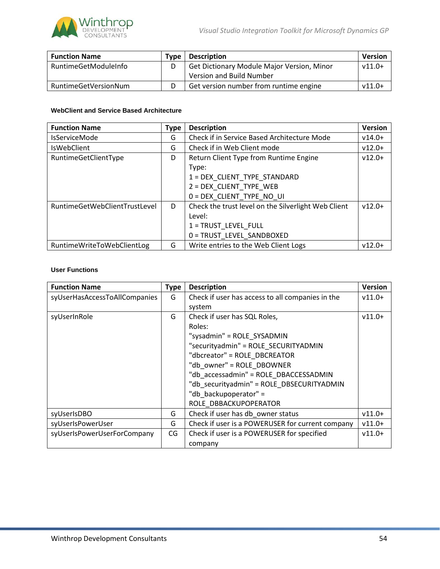

| <b>Function Name</b> | Tvpe | <b>Description</b>                         | <b>Version</b> |
|----------------------|------|--------------------------------------------|----------------|
| RuntimeGetModuleInfo |      | Get Dictionary Module Major Version, Minor | $v11.0+$       |
|                      |      | Version and Build Number                   |                |
| RuntimeGetVersionNum |      | Get version number from runtime engine     | $v11.0+$       |

## **WebClient and Service Based Architecture**

| <b>Function Name</b>          | <b>Type</b> | <b>Description</b>                                  | <b>Version</b> |
|-------------------------------|-------------|-----------------------------------------------------|----------------|
| <b>IsServiceMode</b>          | G           | Check if in Service Based Architecture Mode         | $v14.0+$       |
| <b>IsWebClient</b>            | G           | Check if in Web Client mode                         | $v12.0+$       |
| RuntimeGetClientType          | D           | Return Client Type from Runtime Engine              | $v12.0+$       |
|                               |             | Type:                                               |                |
|                               |             | 1 = DEX CLIENT TYPE STANDARD                        |                |
|                               |             | 2 = DEX CLIENT TYPE WEB                             |                |
|                               |             | 0 = DEX_CLIENT_TYPE_NO_UI                           |                |
| RuntimeGetWebClientTrustLevel | D           | Check the trust level on the Silverlight Web Client | $v12.0+$       |
|                               |             | Level:                                              |                |
|                               |             | 1 = TRUST LEVEL FULL                                |                |
|                               |             | 0 = TRUST LEVEL SANDBOXED                           |                |
| RuntimeWriteToWebClientLog    | G           | Write entries to the Web Client Logs                | $v12.0+$       |

## **User Functions**

| <b>Function Name</b>          | <b>Type</b> | <b>Description</b>                               | <b>Version</b> |
|-------------------------------|-------------|--------------------------------------------------|----------------|
| syUserHasAccessToAllCompanies | G           | Check if user has access to all companies in the | $v11.0+$       |
|                               |             | system                                           |                |
| syUserInRole                  | G           | Check if user has SQL Roles,                     | $v11.0+$       |
|                               |             | Roles:                                           |                |
|                               |             | "sysadmin" = ROLE_SYSADMIN                       |                |
|                               |             | "securityadmin" = ROLE SECURITYADMIN             |                |
|                               |             | "dbcreator" = ROLE DBCREATOR                     |                |
|                               |             | "db_owner" = ROLE_DBOWNER                        |                |
|                               |             | "db accessadmin" = ROLE DBACCESSADMIN            |                |
|                               |             | "db securityadmin" = ROLE DBSECURITYADMIN        |                |
|                               |             | "db backupoperator" =                            |                |
|                               |             | ROLE DBBACKUPOPERATOR                            |                |
| syUserIsDBO                   | G           | Check if user has db owner status                | $v11.0+$       |
| syUserIsPowerUser             | G           | Check if user is a POWERUSER for current company | $v11.0+$       |
| syUserIsPowerUserForCompany   | CG          | Check if user is a POWERUSER for specified       | $v11.0+$       |
|                               |             | company                                          |                |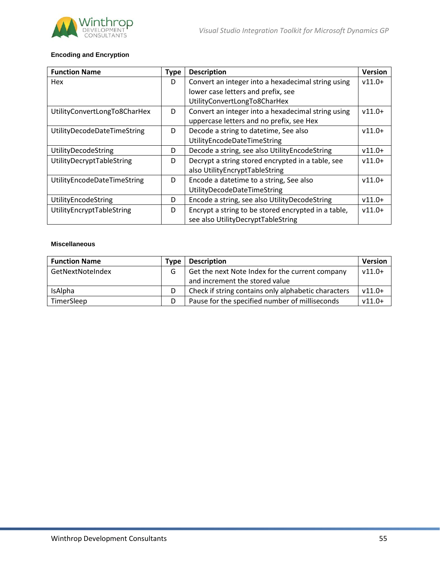

# **Encoding and Encryption**

| <b>Function Name</b>         | <b>Type</b> | <b>Description</b>                                  | <b>Version</b> |
|------------------------------|-------------|-----------------------------------------------------|----------------|
| Hex                          | D           | Convert an integer into a hexadecimal string using  | $v11.0+$       |
|                              |             | lower case letters and prefix, see                  |                |
|                              |             | UtilityConvertLongTo8CharHex                        |                |
| UtilityConvertLongTo8CharHex | D           | Convert an integer into a hexadecimal string using  | $v11.0+$       |
|                              |             | uppercase letters and no prefix, see Hex            |                |
| UtilityDecodeDateTimeString  | D           | Decode a string to datetime, See also               | $v11.0+$       |
|                              |             | UtilityEncodeDateTimeString                         |                |
| UtilityDecodeString          | D           | Decode a string, see also UtilityEncodeString       | $v11.0+$       |
| UtilityDecryptTableString    | D           | Decrypt a string stored encrypted in a table, see   | $v11.0+$       |
|                              |             | also UtilityEncryptTableString                      |                |
| UtilityEncodeDateTimeString  | D           | Encode a datetime to a string, See also             | $v11.0+$       |
|                              |             | UtilityDecodeDateTimeString                         |                |
| UtilityEncodeString          | D           | Encode a string, see also UtilityDecodeString       | $v11.0+$       |
| UtilityEncryptTableString    | D           | Encrypt a string to be stored encrypted in a table, | $v11.0+$       |
|                              |             | see also UtilityDecryptTableString                  |                |

#### **Miscellaneous**

| <b>Function Name</b> | Type | <b>Description</b>                                  | <b>Version</b> |
|----------------------|------|-----------------------------------------------------|----------------|
| GetNextNoteIndex     | G    | Get the next Note Index for the current company     | $v11.0+$       |
|                      |      | and increment the stored value                      |                |
| IsAlpha              | D    | Check if string contains only alphabetic characters | $v11.0+$       |
| TimerSleep           | D    | Pause for the specified number of milliseconds      | $v11.0+$       |